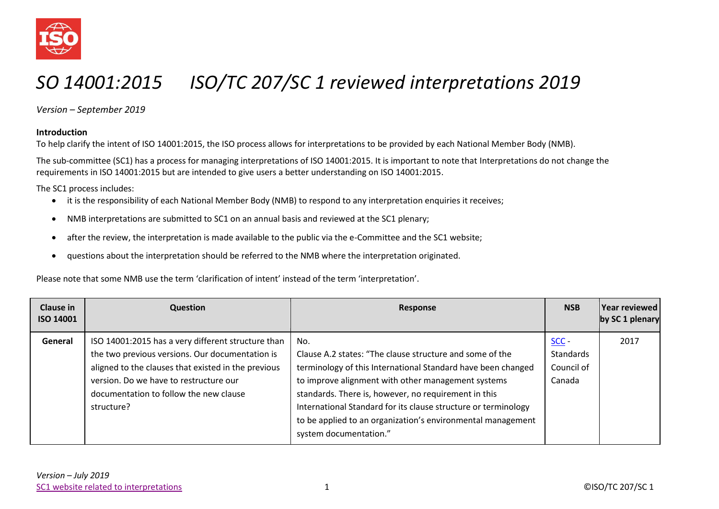

## *SO 14001:2015 ISO/TC 207/SC 1 reviewed interpretations 2019*

*Version – September 2019*

## **Introduction**

To help clarify the intent of ISO 14001:2015, the ISO process allows for interpretations to be provided by each National Member Body (NMB).

The sub-committee (SC1) has a process for managing interpretations of ISO 14001:2015. It is important to note that Interpretations do not change the requirements in ISO 14001:2015 but are intended to give users a better understanding on ISO 14001:2015.

The SC1 process includes:

- it is the responsibility of each National Member Body (NMB) to respond to any interpretation enquiries it receives;
- NMB interpretations are submitted to SC1 on an annual basis and reviewed at the SC1 plenary;
- after the review, the interpretation is made available to the public via the e-Committee and the SC1 website;
- questions about the interpretation should be referred to the NMB where the interpretation originated.

Please note that some NMB use the term 'clarification of intent' instead of the term 'interpretation'.

| <b>Clause in</b><br><b>ISO 14001</b> | <b>Question</b>                                                                                                                                                                                                                                                | Response                                                                                                                                                                                                                                                                                                                                                                                                 | <b>NSB</b>                                   | Year reviewed<br>by SC 1 plenary |
|--------------------------------------|----------------------------------------------------------------------------------------------------------------------------------------------------------------------------------------------------------------------------------------------------------------|----------------------------------------------------------------------------------------------------------------------------------------------------------------------------------------------------------------------------------------------------------------------------------------------------------------------------------------------------------------------------------------------------------|----------------------------------------------|----------------------------------|
| General                              | ISO 14001:2015 has a very different structure than<br>the two previous versions. Our documentation is<br>aligned to the clauses that existed in the previous<br>version. Do we have to restructure our<br>documentation to follow the new clause<br>structure? | No.<br>Clause A.2 states: "The clause structure and some of the<br>terminology of this International Standard have been changed<br>to improve alignment with other management systems<br>standards. There is, however, no requirement in this<br>International Standard for its clause structure or terminology<br>to be applied to an organization's environmental management<br>system documentation." | $SCC -$<br>Standards<br>Council of<br>Canada | 2017                             |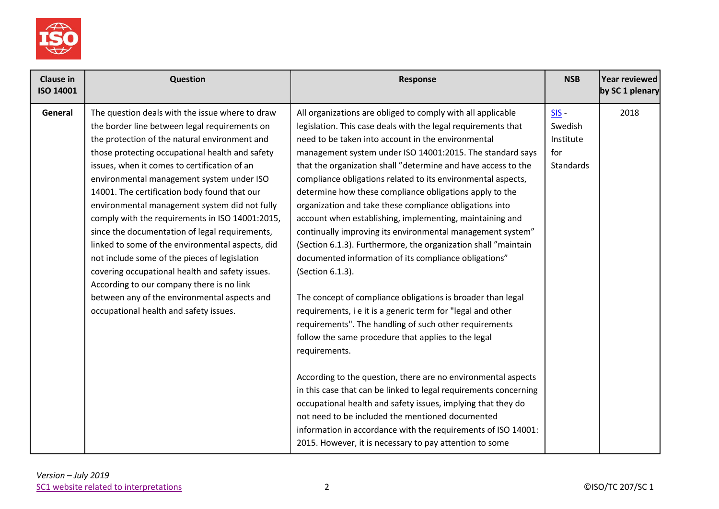

| <b>Clause in</b><br>ISO 14001 | Question                                                                                                                                                                                                                                                                                                                                                                                                                                                                                                                                                                                                                                                                                                                                                                                               | Response                                                                                                                                                                                                                                                                                                                                                                                                                                                                                                                                                                                                                                                                                                                                                                                                                                                                                                      | <b>NSB</b>                                                 | <b>Year reviewed</b><br>by SC 1 plenary |
|-------------------------------|--------------------------------------------------------------------------------------------------------------------------------------------------------------------------------------------------------------------------------------------------------------------------------------------------------------------------------------------------------------------------------------------------------------------------------------------------------------------------------------------------------------------------------------------------------------------------------------------------------------------------------------------------------------------------------------------------------------------------------------------------------------------------------------------------------|---------------------------------------------------------------------------------------------------------------------------------------------------------------------------------------------------------------------------------------------------------------------------------------------------------------------------------------------------------------------------------------------------------------------------------------------------------------------------------------------------------------------------------------------------------------------------------------------------------------------------------------------------------------------------------------------------------------------------------------------------------------------------------------------------------------------------------------------------------------------------------------------------------------|------------------------------------------------------------|-----------------------------------------|
| General                       | The question deals with the issue where to draw<br>the border line between legal requirements on<br>the protection of the natural environment and<br>those protecting occupational health and safety<br>issues, when it comes to certification of an<br>environmental management system under ISO<br>14001. The certification body found that our<br>environmental management system did not fully<br>comply with the requirements in ISO 14001:2015,<br>since the documentation of legal requirements,<br>linked to some of the environmental aspects, did<br>not include some of the pieces of legislation<br>covering occupational health and safety issues.<br>According to our company there is no link<br>between any of the environmental aspects and<br>occupational health and safety issues. | All organizations are obliged to comply with all applicable<br>legislation. This case deals with the legal requirements that<br>need to be taken into account in the environmental<br>management system under ISO 14001:2015. The standard says<br>that the organization shall "determine and have access to the<br>compliance obligations related to its environmental aspects,<br>determine how these compliance obligations apply to the<br>organization and take these compliance obligations into<br>account when establishing, implementing, maintaining and<br>continually improving its environmental management system"<br>(Section 6.1.3). Furthermore, the organization shall "maintain<br>documented information of its compliance obligations"<br>(Section 6.1.3).<br>The concept of compliance obligations is broader than legal<br>requirements, i e it is a generic term for "legal and other | $SIS -$<br>Swedish<br>Institute<br>for<br><b>Standards</b> | 2018                                    |
|                               |                                                                                                                                                                                                                                                                                                                                                                                                                                                                                                                                                                                                                                                                                                                                                                                                        | requirements". The handling of such other requirements<br>follow the same procedure that applies to the legal<br>requirements.<br>According to the question, there are no environmental aspects<br>in this case that can be linked to legal requirements concerning<br>occupational health and safety issues, implying that they do<br>not need to be included the mentioned documented<br>information in accordance with the requirements of ISO 14001:<br>2015. However, it is necessary to pay attention to some                                                                                                                                                                                                                                                                                                                                                                                           |                                                            |                                         |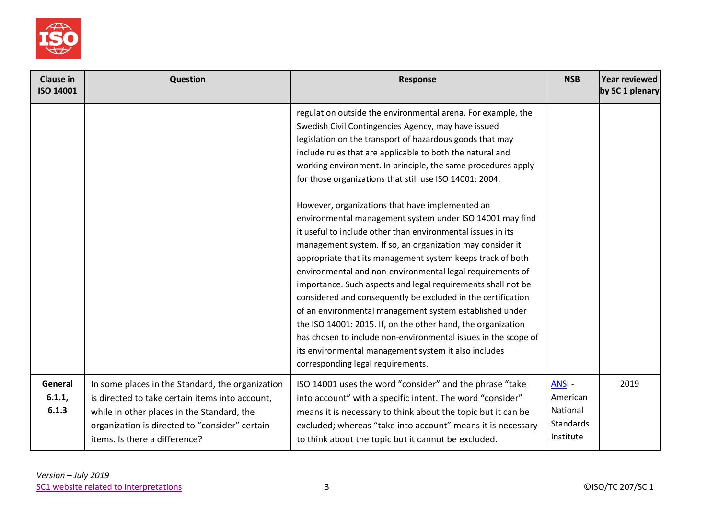

| <b>Clause in</b><br>ISO 14001 | Question                                                                                                                                                                                                                             | Response                                                                                                                                                                                                                                                                                                                                                                                                                                                                                                                                                                                                                                                                                                                                                                                                                                                                                                                                                                                                                                                                                                                                                                | <b>NSB</b>                                                            | Year reviewed<br>by SC 1 plenary |
|-------------------------------|--------------------------------------------------------------------------------------------------------------------------------------------------------------------------------------------------------------------------------------|-------------------------------------------------------------------------------------------------------------------------------------------------------------------------------------------------------------------------------------------------------------------------------------------------------------------------------------------------------------------------------------------------------------------------------------------------------------------------------------------------------------------------------------------------------------------------------------------------------------------------------------------------------------------------------------------------------------------------------------------------------------------------------------------------------------------------------------------------------------------------------------------------------------------------------------------------------------------------------------------------------------------------------------------------------------------------------------------------------------------------------------------------------------------------|-----------------------------------------------------------------------|----------------------------------|
|                               |                                                                                                                                                                                                                                      | regulation outside the environmental arena. For example, the<br>Swedish Civil Contingencies Agency, may have issued<br>legislation on the transport of hazardous goods that may<br>include rules that are applicable to both the natural and<br>working environment. In principle, the same procedures apply<br>for those organizations that still use ISO 14001: 2004.<br>However, organizations that have implemented an<br>environmental management system under ISO 14001 may find<br>it useful to include other than environmental issues in its<br>management system. If so, an organization may consider it<br>appropriate that its management system keeps track of both<br>environmental and non-environmental legal requirements of<br>importance. Such aspects and legal requirements shall not be<br>considered and consequently be excluded in the certification<br>of an environmental management system established under<br>the ISO 14001: 2015. If, on the other hand, the organization<br>has chosen to include non-environmental issues in the scope of<br>its environmental management system it also includes<br>corresponding legal requirements. |                                                                       |                                  |
| General<br>6.1.1,<br>6.1.3    | In some places in the Standard, the organization<br>is directed to take certain items into account,<br>while in other places in the Standard, the<br>organization is directed to "consider" certain<br>items. Is there a difference? | ISO 14001 uses the word "consider" and the phrase "take<br>into account" with a specific intent. The word "consider"<br>means it is necessary to think about the topic but it can be<br>excluded; whereas "take into account" means it is necessary<br>to think about the topic but it cannot be excluded.                                                                                                                                                                                                                                                                                                                                                                                                                                                                                                                                                                                                                                                                                                                                                                                                                                                              | <b>ANSI-</b><br>American<br>National<br><b>Standards</b><br>Institute | 2019                             |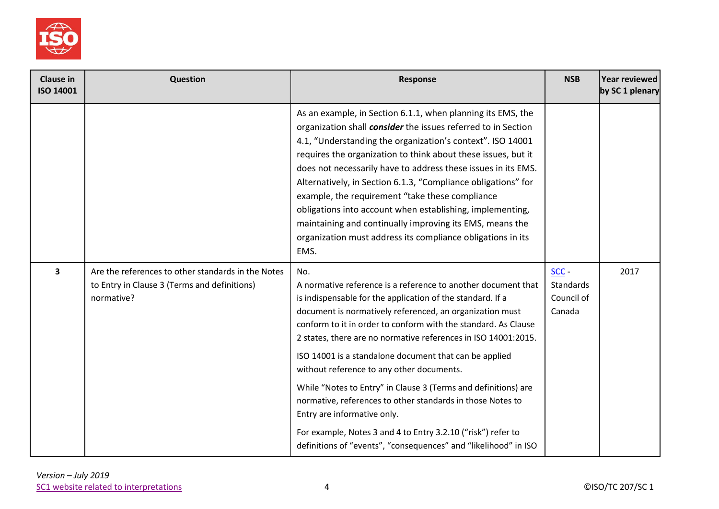

| <b>Clause in</b><br><b>ISO 14001</b> | <b>Question</b>                                                                                                  | <b>Response</b>                                                                                                                                                                                                                                                                                                                                                                                                                                                                                                                                                                                                                                                                                                                             | <b>NSB</b>                                | Year reviewed<br>by SC 1 plenary |
|--------------------------------------|------------------------------------------------------------------------------------------------------------------|---------------------------------------------------------------------------------------------------------------------------------------------------------------------------------------------------------------------------------------------------------------------------------------------------------------------------------------------------------------------------------------------------------------------------------------------------------------------------------------------------------------------------------------------------------------------------------------------------------------------------------------------------------------------------------------------------------------------------------------------|-------------------------------------------|----------------------------------|
|                                      |                                                                                                                  | As an example, in Section 6.1.1, when planning its EMS, the<br>organization shall consider the issues referred to in Section<br>4.1, "Understanding the organization's context". ISO 14001<br>requires the organization to think about these issues, but it<br>does not necessarily have to address these issues in its EMS.<br>Alternatively, in Section 6.1.3, "Compliance obligations" for<br>example, the requirement "take these compliance<br>obligations into account when establishing, implementing,<br>maintaining and continually improving its EMS, means the<br>organization must address its compliance obligations in its<br>EMS.                                                                                            |                                           |                                  |
| $\overline{\mathbf{3}}$              | Are the references to other standards in the Notes<br>to Entry in Clause 3 (Terms and definitions)<br>normative? | No.<br>A normative reference is a reference to another document that<br>is indispensable for the application of the standard. If a<br>document is normatively referenced, an organization must<br>conform to it in order to conform with the standard. As Clause<br>2 states, there are no normative references in ISO 14001:2015.<br>ISO 14001 is a standalone document that can be applied<br>without reference to any other documents.<br>While "Notes to Entry" in Clause 3 (Terms and definitions) are<br>normative, references to other standards in those Notes to<br>Entry are informative only.<br>For example, Notes 3 and 4 to Entry 3.2.10 ("risk") refer to<br>definitions of "events", "consequences" and "likelihood" in ISO | SCC-<br>Standards<br>Council of<br>Canada | 2017                             |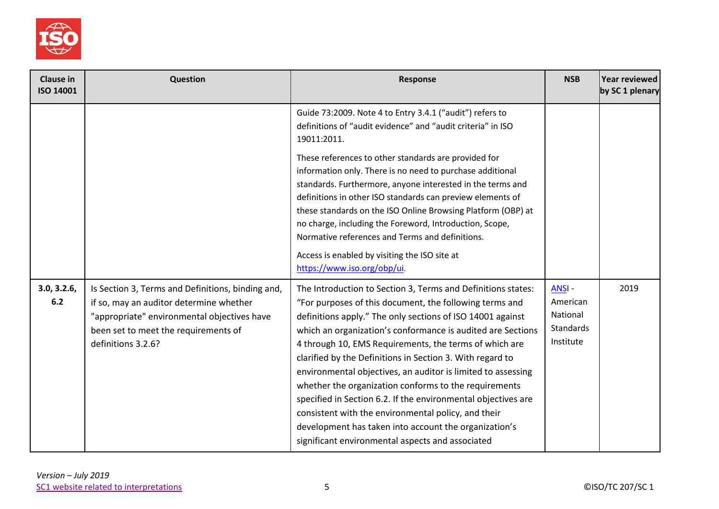

| <b>Clause in</b><br><b>ISO 14001</b> | Question                                                                                                                                                                                                  | <b>Response</b>                                                                                                                                                                                                                                                                                                                                                                                                                                                                                                                                                                                                                                                                                                                           | <b>NSB</b>                                                     | Year reviewed<br>by SC 1 plenary |
|--------------------------------------|-----------------------------------------------------------------------------------------------------------------------------------------------------------------------------------------------------------|-------------------------------------------------------------------------------------------------------------------------------------------------------------------------------------------------------------------------------------------------------------------------------------------------------------------------------------------------------------------------------------------------------------------------------------------------------------------------------------------------------------------------------------------------------------------------------------------------------------------------------------------------------------------------------------------------------------------------------------------|----------------------------------------------------------------|----------------------------------|
|                                      |                                                                                                                                                                                                           | Guide 73:2009. Note 4 to Entry 3.4.1 ("audit") refers to<br>definitions of "audit evidence" and "audit criteria" in ISO<br>19011:2011.                                                                                                                                                                                                                                                                                                                                                                                                                                                                                                                                                                                                    |                                                                |                                  |
|                                      |                                                                                                                                                                                                           | These references to other standards are provided for<br>information only. There is no need to purchase additional<br>standards. Furthermore, anyone interested in the terms and<br>definitions in other ISO standards can preview elements of<br>these standards on the ISO Online Browsing Platform (OBP) at<br>no charge, including the Foreword, Introduction, Scope,<br>Normative references and Terms and definitions.<br>Access is enabled by visiting the ISO site at<br>https://www.iso.org/obp/ui.                                                                                                                                                                                                                               |                                                                |                                  |
| 3.0, 3.2.6,<br>6.2                   | Is Section 3, Terms and Definitions, binding and,<br>if so, may an auditor determine whether<br>"appropriate" environmental objectives have<br>been set to meet the requirements of<br>definitions 3.2.6? | The Introduction to Section 3, Terms and Definitions states:<br>"For purposes of this document, the following terms and<br>definitions apply." The only sections of ISO 14001 against<br>which an organization's conformance is audited are Sections<br>4 through 10, EMS Requirements, the terms of which are<br>clarified by the Definitions in Section 3. With regard to<br>environmental objectives, an auditor is limited to assessing<br>whether the organization conforms to the requirements<br>specified in Section 6.2. If the environmental objectives are<br>consistent with the environmental policy, and their<br>development has taken into account the organization's<br>significant environmental aspects and associated | ANSI-<br>American<br>National<br><b>Standards</b><br>Institute | 2019                             |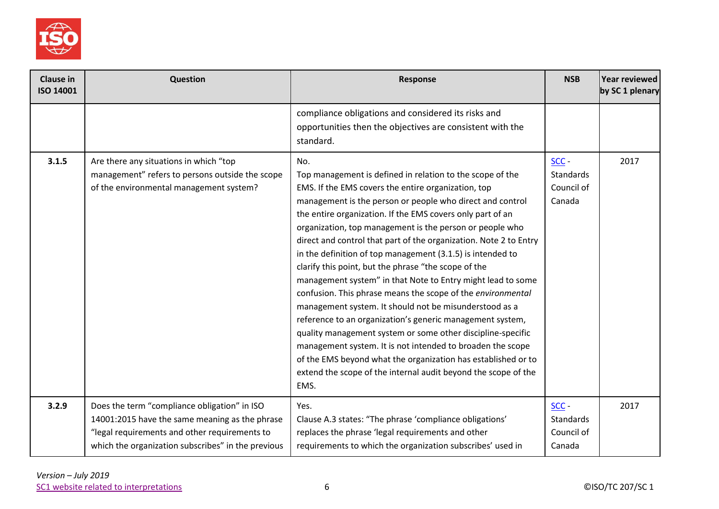

| <b>Clause in</b><br>ISO 14001 | Question                                                                                                                                                                                              | Response                                                                                                                                                                                                                                                                                                                                                                                                                                                                                                                                                                                                                                                                                                                                                                                                                                                                                                                                                                                                                               | <b>NSB</b>                                          | Year reviewed<br>by SC 1 plenary |
|-------------------------------|-------------------------------------------------------------------------------------------------------------------------------------------------------------------------------------------------------|----------------------------------------------------------------------------------------------------------------------------------------------------------------------------------------------------------------------------------------------------------------------------------------------------------------------------------------------------------------------------------------------------------------------------------------------------------------------------------------------------------------------------------------------------------------------------------------------------------------------------------------------------------------------------------------------------------------------------------------------------------------------------------------------------------------------------------------------------------------------------------------------------------------------------------------------------------------------------------------------------------------------------------------|-----------------------------------------------------|----------------------------------|
|                               |                                                                                                                                                                                                       | compliance obligations and considered its risks and<br>opportunities then the objectives are consistent with the<br>standard.                                                                                                                                                                                                                                                                                                                                                                                                                                                                                                                                                                                                                                                                                                                                                                                                                                                                                                          |                                                     |                                  |
| 3.1.5                         | Are there any situations in which "top<br>management" refers to persons outside the scope<br>of the environmental management system?                                                                  | No.<br>Top management is defined in relation to the scope of the<br>EMS. If the EMS covers the entire organization, top<br>management is the person or people who direct and control<br>the entire organization. If the EMS covers only part of an<br>organization, top management is the person or people who<br>direct and control that part of the organization. Note 2 to Entry<br>in the definition of top management (3.1.5) is intended to<br>clarify this point, but the phrase "the scope of the<br>management system" in that Note to Entry might lead to some<br>confusion. This phrase means the scope of the environmental<br>management system. It should not be misunderstood as a<br>reference to an organization's generic management system,<br>quality management system or some other discipline-specific<br>management system. It is not intended to broaden the scope<br>of the EMS beyond what the organization has established or to<br>extend the scope of the internal audit beyond the scope of the<br>EMS. | $SCC -$<br><b>Standards</b><br>Council of<br>Canada | 2017                             |
| 3.2.9                         | Does the term "compliance obligation" in ISO<br>14001:2015 have the same meaning as the phrase<br>"legal requirements and other requirements to<br>which the organization subscribes" in the previous | Yes.<br>Clause A.3 states: "The phrase 'compliance obligations'<br>replaces the phrase 'legal requirements and other<br>requirements to which the organization subscribes' used in                                                                                                                                                                                                                                                                                                                                                                                                                                                                                                                                                                                                                                                                                                                                                                                                                                                     | $SCC -$<br><b>Standards</b><br>Council of<br>Canada | 2017                             |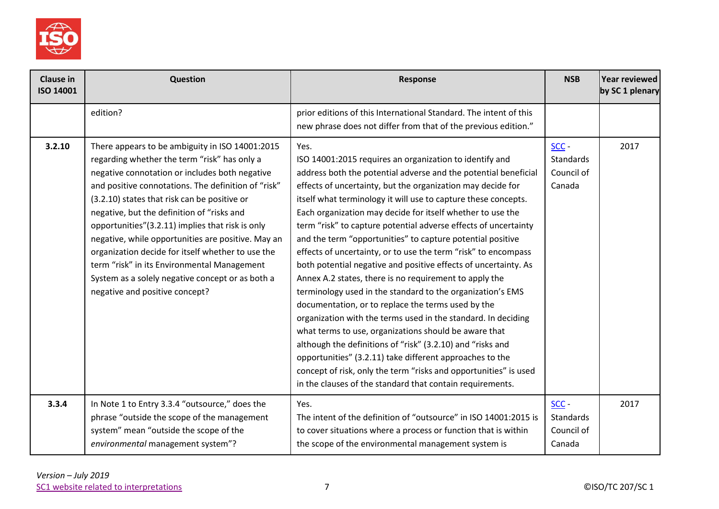

| <b>Clause in</b><br><b>ISO 14001</b> | Question                                                                                                                                                                                                                                                                                                                                                                                                                                                                                                                                                                                                   | Response                                                                                                                                                                                                                                                                                                                                                                                                                                                                                                                                                                                                                                                                                                                                                                                                                                                                                                                                                                                                                                                                                                                                                                   | <b>NSB</b>                                   | <b>Year reviewed</b><br>by SC 1 plenary |
|--------------------------------------|------------------------------------------------------------------------------------------------------------------------------------------------------------------------------------------------------------------------------------------------------------------------------------------------------------------------------------------------------------------------------------------------------------------------------------------------------------------------------------------------------------------------------------------------------------------------------------------------------------|----------------------------------------------------------------------------------------------------------------------------------------------------------------------------------------------------------------------------------------------------------------------------------------------------------------------------------------------------------------------------------------------------------------------------------------------------------------------------------------------------------------------------------------------------------------------------------------------------------------------------------------------------------------------------------------------------------------------------------------------------------------------------------------------------------------------------------------------------------------------------------------------------------------------------------------------------------------------------------------------------------------------------------------------------------------------------------------------------------------------------------------------------------------------------|----------------------------------------------|-----------------------------------------|
|                                      | edition?                                                                                                                                                                                                                                                                                                                                                                                                                                                                                                                                                                                                   | prior editions of this International Standard. The intent of this<br>new phrase does not differ from that of the previous edition."                                                                                                                                                                                                                                                                                                                                                                                                                                                                                                                                                                                                                                                                                                                                                                                                                                                                                                                                                                                                                                        |                                              |                                         |
| 3.2.10                               | There appears to be ambiguity in ISO 14001:2015<br>regarding whether the term "risk" has only a<br>negative connotation or includes both negative<br>and positive connotations. The definition of "risk"<br>(3.2.10) states that risk can be positive or<br>negative, but the definition of "risks and<br>opportunities"(3.2.11) implies that risk is only<br>negative, while opportunities are positive. May an<br>organization decide for itself whether to use the<br>term "risk" in its Environmental Management<br>System as a solely negative concept or as both a<br>negative and positive concept? | Yes.<br>ISO 14001:2015 requires an organization to identify and<br>address both the potential adverse and the potential beneficial<br>effects of uncertainty, but the organization may decide for<br>itself what terminology it will use to capture these concepts.<br>Each organization may decide for itself whether to use the<br>term "risk" to capture potential adverse effects of uncertainty<br>and the term "opportunities" to capture potential positive<br>effects of uncertainty, or to use the term "risk" to encompass<br>both potential negative and positive effects of uncertainty. As<br>Annex A.2 states, there is no requirement to apply the<br>terminology used in the standard to the organization's EMS<br>documentation, or to replace the terms used by the<br>organization with the terms used in the standard. In deciding<br>what terms to use, organizations should be aware that<br>although the definitions of "risk" (3.2.10) and "risks and<br>opportunities" (3.2.11) take different approaches to the<br>concept of risk, only the term "risks and opportunities" is used<br>in the clauses of the standard that contain requirements. | SCC-<br>Standards<br>Council of<br>Canada    | 2017                                    |
| 3.3.4                                | In Note 1 to Entry 3.3.4 "outsource," does the<br>phrase "outside the scope of the management<br>system" mean "outside the scope of the<br>environmental management system"?                                                                                                                                                                                                                                                                                                                                                                                                                               | Yes.<br>The intent of the definition of "outsource" in ISO 14001:2015 is<br>to cover situations where a process or function that is within<br>the scope of the environmental management system is                                                                                                                                                                                                                                                                                                                                                                                                                                                                                                                                                                                                                                                                                                                                                                                                                                                                                                                                                                          | $SCC -$<br>Standards<br>Council of<br>Canada | 2017                                    |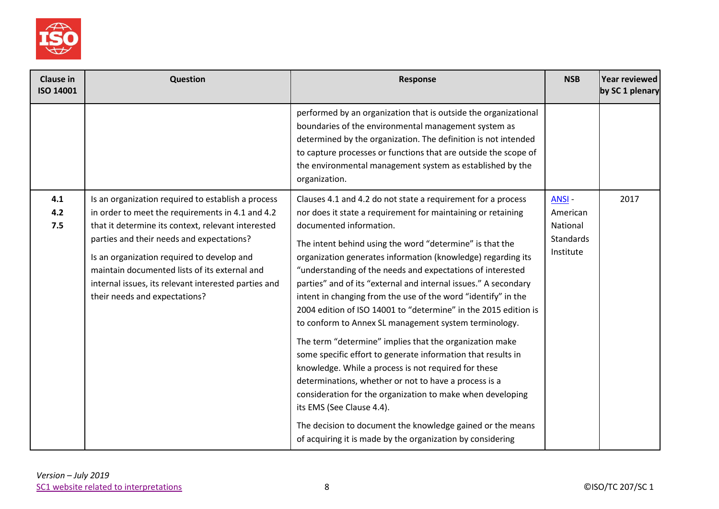

| Clause in<br>ISO 14001 | Question                                                                                                                                                                                                                                                                                                                                                                                          | <b>Response</b>                                                                                                                                                                                                                                                                                                                                                                                                                                                                                                                                                                                                                                                                                                                                                                                                                                                                                                                                                                                                                                                                      | <b>NSB</b>                                                     | Year reviewed<br>by SC 1 plenary |
|------------------------|---------------------------------------------------------------------------------------------------------------------------------------------------------------------------------------------------------------------------------------------------------------------------------------------------------------------------------------------------------------------------------------------------|--------------------------------------------------------------------------------------------------------------------------------------------------------------------------------------------------------------------------------------------------------------------------------------------------------------------------------------------------------------------------------------------------------------------------------------------------------------------------------------------------------------------------------------------------------------------------------------------------------------------------------------------------------------------------------------------------------------------------------------------------------------------------------------------------------------------------------------------------------------------------------------------------------------------------------------------------------------------------------------------------------------------------------------------------------------------------------------|----------------------------------------------------------------|----------------------------------|
|                        |                                                                                                                                                                                                                                                                                                                                                                                                   | performed by an organization that is outside the organizational<br>boundaries of the environmental management system as<br>determined by the organization. The definition is not intended<br>to capture processes or functions that are outside the scope of<br>the environmental management system as established by the<br>organization.                                                                                                                                                                                                                                                                                                                                                                                                                                                                                                                                                                                                                                                                                                                                           |                                                                |                                  |
| 4.1<br>4.2<br>7.5      | Is an organization required to establish a process<br>in order to meet the requirements in 4.1 and 4.2<br>that it determine its context, relevant interested<br>parties and their needs and expectations?<br>Is an organization required to develop and<br>maintain documented lists of its external and<br>internal issues, its relevant interested parties and<br>their needs and expectations? | Clauses 4.1 and 4.2 do not state a requirement for a process<br>nor does it state a requirement for maintaining or retaining<br>documented information.<br>The intent behind using the word "determine" is that the<br>organization generates information (knowledge) regarding its<br>"understanding of the needs and expectations of interested<br>parties" and of its "external and internal issues." A secondary<br>intent in changing from the use of the word "identify" in the<br>2004 edition of ISO 14001 to "determine" in the 2015 edition is<br>to conform to Annex SL management system terminology.<br>The term "determine" implies that the organization make<br>some specific effort to generate information that results in<br>knowledge. While a process is not required for these<br>determinations, whether or not to have a process is a<br>consideration for the organization to make when developing<br>its EMS (See Clause 4.4).<br>The decision to document the knowledge gained or the means<br>of acquiring it is made by the organization by considering | <b>ANSI-</b><br>American<br>National<br>Standards<br>Institute | 2017                             |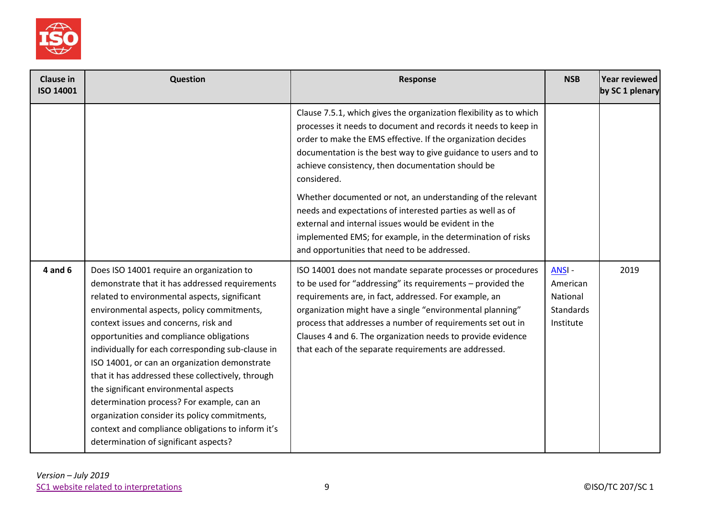

| <b>Clause in</b><br><b>ISO 14001</b> | Question                                                                                                                                                                                                                                                                                                                                                                                                                                                                                                                                                                                                                                                                         | Response                                                                                                                                                                                                                                                                                                                                                                                                                               | <b>NSB</b>                                                            | Year reviewed<br>by SC 1 plenary |
|--------------------------------------|----------------------------------------------------------------------------------------------------------------------------------------------------------------------------------------------------------------------------------------------------------------------------------------------------------------------------------------------------------------------------------------------------------------------------------------------------------------------------------------------------------------------------------------------------------------------------------------------------------------------------------------------------------------------------------|----------------------------------------------------------------------------------------------------------------------------------------------------------------------------------------------------------------------------------------------------------------------------------------------------------------------------------------------------------------------------------------------------------------------------------------|-----------------------------------------------------------------------|----------------------------------|
|                                      |                                                                                                                                                                                                                                                                                                                                                                                                                                                                                                                                                                                                                                                                                  | Clause 7.5.1, which gives the organization flexibility as to which<br>processes it needs to document and records it needs to keep in<br>order to make the EMS effective. If the organization decides<br>documentation is the best way to give guidance to users and to<br>achieve consistency, then documentation should be<br>considered.                                                                                             |                                                                       |                                  |
|                                      |                                                                                                                                                                                                                                                                                                                                                                                                                                                                                                                                                                                                                                                                                  | Whether documented or not, an understanding of the relevant<br>needs and expectations of interested parties as well as of<br>external and internal issues would be evident in the<br>implemented EMS; for example, in the determination of risks<br>and opportunities that need to be addressed.                                                                                                                                       |                                                                       |                                  |
| $4$ and $6$                          | Does ISO 14001 require an organization to<br>demonstrate that it has addressed requirements<br>related to environmental aspects, significant<br>environmental aspects, policy commitments,<br>context issues and concerns, risk and<br>opportunities and compliance obligations<br>individually for each corresponding sub-clause in<br>ISO 14001, or can an organization demonstrate<br>that it has addressed these collectively, through<br>the significant environmental aspects<br>determination process? For example, can an<br>organization consider its policy commitments,<br>context and compliance obligations to inform it's<br>determination of significant aspects? | ISO 14001 does not mandate separate processes or procedures<br>to be used for "addressing" its requirements - provided the<br>requirements are, in fact, addressed. For example, an<br>organization might have a single "environmental planning"<br>process that addresses a number of requirements set out in<br>Clauses 4 and 6. The organization needs to provide evidence<br>that each of the separate requirements are addressed. | <b>ANSI-</b><br>American<br>National<br><b>Standards</b><br>Institute | 2019                             |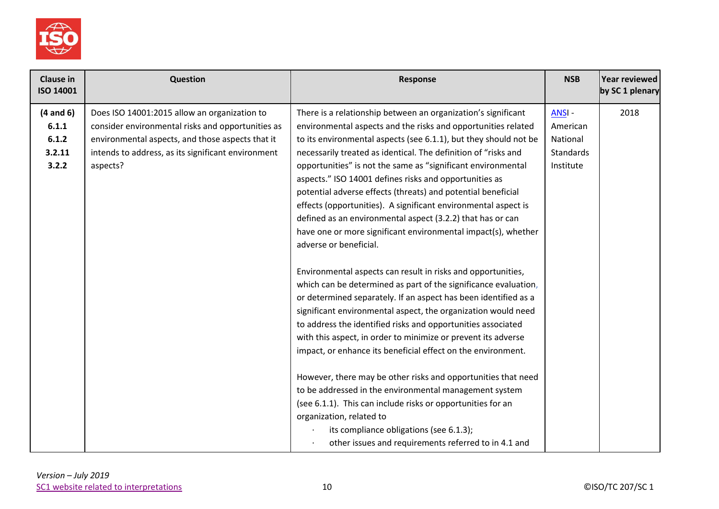

| <b>Clause in</b><br><b>ISO 14001</b> | Question                                           | Response                                                                                                               | <b>NSB</b>       | Year reviewed<br>by SC 1 plenary |
|--------------------------------------|----------------------------------------------------|------------------------------------------------------------------------------------------------------------------------|------------------|----------------------------------|
| $(4$ and $6)$                        | Does ISO 14001:2015 allow an organization to       | There is a relationship between an organization's significant                                                          | ANSI-            | 2018                             |
| 6.1.1                                | consider environmental risks and opportunities as  | environmental aspects and the risks and opportunities related                                                          | American         |                                  |
| 6.1.2                                | environmental aspects, and those aspects that it   | to its environmental aspects (see 6.1.1), but they should not be                                                       | National         |                                  |
| 3.2.11                               | intends to address, as its significant environment | necessarily treated as identical. The definition of "risks and                                                         | <b>Standards</b> |                                  |
| 3.2.2                                | aspects?                                           | opportunities" is not the same as "significant environmental<br>aspects." ISO 14001 defines risks and opportunities as | Institute        |                                  |
|                                      |                                                    | potential adverse effects (threats) and potential beneficial                                                           |                  |                                  |
|                                      |                                                    | effects (opportunities). A significant environmental aspect is                                                         |                  |                                  |
|                                      |                                                    | defined as an environmental aspect (3.2.2) that has or can                                                             |                  |                                  |
|                                      |                                                    | have one or more significant environmental impact(s), whether                                                          |                  |                                  |
|                                      |                                                    | adverse or beneficial.                                                                                                 |                  |                                  |
|                                      |                                                    |                                                                                                                        |                  |                                  |
|                                      |                                                    | Environmental aspects can result in risks and opportunities,                                                           |                  |                                  |
|                                      |                                                    | which can be determined as part of the significance evaluation,                                                        |                  |                                  |
|                                      |                                                    | or determined separately. If an aspect has been identified as a                                                        |                  |                                  |
|                                      |                                                    | significant environmental aspect, the organization would need                                                          |                  |                                  |
|                                      |                                                    | to address the identified risks and opportunities associated                                                           |                  |                                  |
|                                      |                                                    | with this aspect, in order to minimize or prevent its adverse                                                          |                  |                                  |
|                                      |                                                    | impact, or enhance its beneficial effect on the environment.                                                           |                  |                                  |
|                                      |                                                    | However, there may be other risks and opportunities that need                                                          |                  |                                  |
|                                      |                                                    | to be addressed in the environmental management system                                                                 |                  |                                  |
|                                      |                                                    | (see 6.1.1). This can include risks or opportunities for an                                                            |                  |                                  |
|                                      |                                                    | organization, related to                                                                                               |                  |                                  |
|                                      |                                                    | its compliance obligations (see 6.1.3);                                                                                |                  |                                  |
|                                      |                                                    | other issues and requirements referred to in 4.1 and                                                                   |                  |                                  |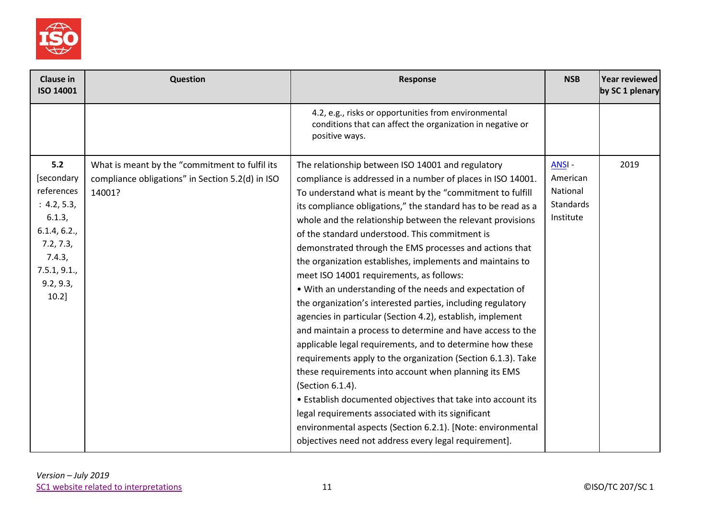

| <b>Clause in</b><br>ISO 14001                                                                                                            | <b>Question</b>                                                                                              | <b>Response</b>                                                                                                                                                                                                                                                                                                                                                                                                                                                                                                                                                                                                                                                                                                                                                                                                                                                                                                                                                                                                                                                                                                                                                                                                                                  | <b>NSB</b>                                              | Year reviewed<br>by SC 1 plenary |
|------------------------------------------------------------------------------------------------------------------------------------------|--------------------------------------------------------------------------------------------------------------|--------------------------------------------------------------------------------------------------------------------------------------------------------------------------------------------------------------------------------------------------------------------------------------------------------------------------------------------------------------------------------------------------------------------------------------------------------------------------------------------------------------------------------------------------------------------------------------------------------------------------------------------------------------------------------------------------------------------------------------------------------------------------------------------------------------------------------------------------------------------------------------------------------------------------------------------------------------------------------------------------------------------------------------------------------------------------------------------------------------------------------------------------------------------------------------------------------------------------------------------------|---------------------------------------------------------|----------------------------------|
|                                                                                                                                          |                                                                                                              | 4.2, e.g., risks or opportunities from environmental<br>conditions that can affect the organization in negative or<br>positive ways.                                                                                                                                                                                                                                                                                                                                                                                                                                                                                                                                                                                                                                                                                                                                                                                                                                                                                                                                                                                                                                                                                                             |                                                         |                                  |
| 5.2<br>[secondary<br>references<br>: 4.2, 5.3,<br>6.1.3,<br>6.1.4, 6.2.,<br>7.2, 7.3,<br>7.4.3,<br>7.5.1, 9.1.,<br>9.2, 9.3,<br>$10.2$ ] | What is meant by the "commitment to fulfil its<br>compliance obligations" in Section 5.2(d) in ISO<br>14001? | The relationship between ISO 14001 and regulatory<br>compliance is addressed in a number of places in ISO 14001.<br>To understand what is meant by the "commitment to fulfill<br>its compliance obligations," the standard has to be read as a<br>whole and the relationship between the relevant provisions<br>of the standard understood. This commitment is<br>demonstrated through the EMS processes and actions that<br>the organization establishes, implements and maintains to<br>meet ISO 14001 requirements, as follows:<br>• With an understanding of the needs and expectation of<br>the organization's interested parties, including regulatory<br>agencies in particular (Section 4.2), establish, implement<br>and maintain a process to determine and have access to the<br>applicable legal requirements, and to determine how these<br>requirements apply to the organization (Section 6.1.3). Take<br>these requirements into account when planning its EMS<br>(Section 6.1.4).<br>• Establish documented objectives that take into account its<br>legal requirements associated with its significant<br>environmental aspects (Section 6.2.1). [Note: environmental<br>objectives need not address every legal requirement]. | ANSI-<br>American<br>National<br>Standards<br>Institute | 2019                             |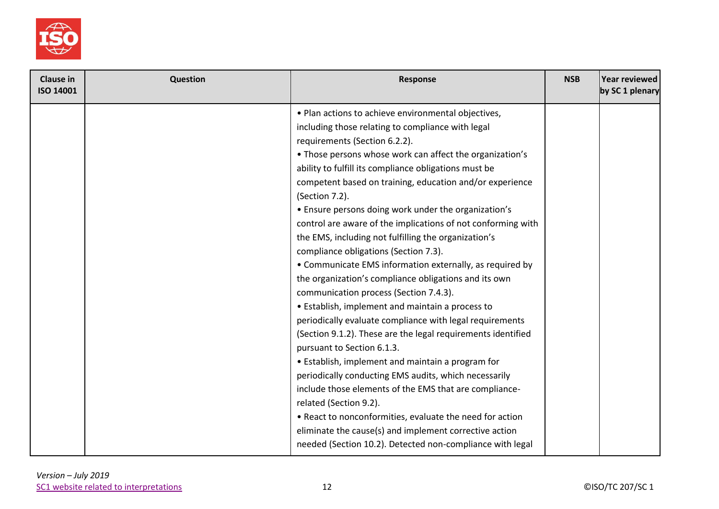

| <b>Clause in</b><br>ISO 14001 | Question | Response                                                     | <b>NSB</b> | <b>Year reviewed</b><br>by SC 1 plenary |
|-------------------------------|----------|--------------------------------------------------------------|------------|-----------------------------------------|
|                               |          | . Plan actions to achieve environmental objectives,          |            |                                         |
|                               |          | including those relating to compliance with legal            |            |                                         |
|                               |          | requirements (Section 6.2.2).                                |            |                                         |
|                               |          | • Those persons whose work can affect the organization's     |            |                                         |
|                               |          | ability to fulfill its compliance obligations must be        |            |                                         |
|                               |          | competent based on training, education and/or experience     |            |                                         |
|                               |          | (Section 7.2).                                               |            |                                         |
|                               |          | • Ensure persons doing work under the organization's         |            |                                         |
|                               |          | control are aware of the implications of not conforming with |            |                                         |
|                               |          | the EMS, including not fulfilling the organization's         |            |                                         |
|                               |          | compliance obligations (Section 7.3).                        |            |                                         |
|                               |          | • Communicate EMS information externally, as required by     |            |                                         |
|                               |          | the organization's compliance obligations and its own        |            |                                         |
|                               |          | communication process (Section 7.4.3).                       |            |                                         |
|                               |          | • Establish, implement and maintain a process to             |            |                                         |
|                               |          | periodically evaluate compliance with legal requirements     |            |                                         |
|                               |          | (Section 9.1.2). These are the legal requirements identified |            |                                         |
|                               |          | pursuant to Section 6.1.3.                                   |            |                                         |
|                               |          | • Establish, implement and maintain a program for            |            |                                         |
|                               |          | periodically conducting EMS audits, which necessarily        |            |                                         |
|                               |          | include those elements of the EMS that are compliance-       |            |                                         |
|                               |          | related (Section 9.2).                                       |            |                                         |
|                               |          | • React to nonconformities, evaluate the need for action     |            |                                         |
|                               |          | eliminate the cause(s) and implement corrective action       |            |                                         |
|                               |          | needed (Section 10.2). Detected non-compliance with legal    |            |                                         |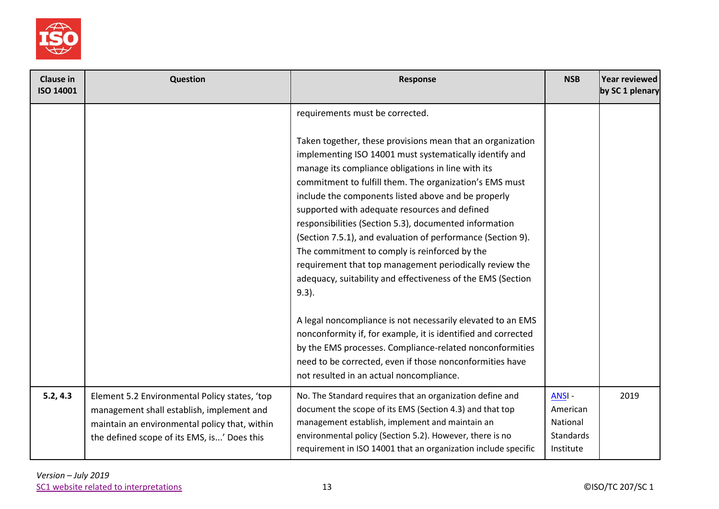

| <b>Clause in</b><br><b>ISO 14001</b> | <b>Question</b>                                                                                                                                                                            | <b>Response</b>                                                                                                                                                                                                                                                                                                                                                                                                                                                                                            | <b>NSB</b>                                                     | Year reviewed<br>by SC 1 plenary |
|--------------------------------------|--------------------------------------------------------------------------------------------------------------------------------------------------------------------------------------------|------------------------------------------------------------------------------------------------------------------------------------------------------------------------------------------------------------------------------------------------------------------------------------------------------------------------------------------------------------------------------------------------------------------------------------------------------------------------------------------------------------|----------------------------------------------------------------|----------------------------------|
|                                      |                                                                                                                                                                                            | requirements must be corrected.<br>Taken together, these provisions mean that an organization<br>implementing ISO 14001 must systematically identify and<br>manage its compliance obligations in line with its<br>commitment to fulfill them. The organization's EMS must<br>include the components listed above and be properly<br>supported with adequate resources and defined<br>responsibilities (Section 5.3), documented information<br>(Section 7.5.1), and evaluation of performance (Section 9). |                                                                |                                  |
|                                      |                                                                                                                                                                                            | The commitment to comply is reinforced by the<br>requirement that top management periodically review the<br>adequacy, suitability and effectiveness of the EMS (Section<br>$9.3$ ).                                                                                                                                                                                                                                                                                                                        |                                                                |                                  |
|                                      |                                                                                                                                                                                            | A legal noncompliance is not necessarily elevated to an EMS<br>nonconformity if, for example, it is identified and corrected<br>by the EMS processes. Compliance-related nonconformities<br>need to be corrected, even if those nonconformities have<br>not resulted in an actual noncompliance.                                                                                                                                                                                                           |                                                                |                                  |
| 5.2, 4.3                             | Element 5.2 Environmental Policy states, 'top<br>management shall establish, implement and<br>maintain an environmental policy that, within<br>the defined scope of its EMS, is' Does this | No. The Standard requires that an organization define and<br>document the scope of its EMS (Section 4.3) and that top<br>management establish, implement and maintain an<br>environmental policy (Section 5.2). However, there is no<br>requirement in ISO 14001 that an organization include specific                                                                                                                                                                                                     | ANSI-<br>American<br>National<br><b>Standards</b><br>Institute | 2019                             |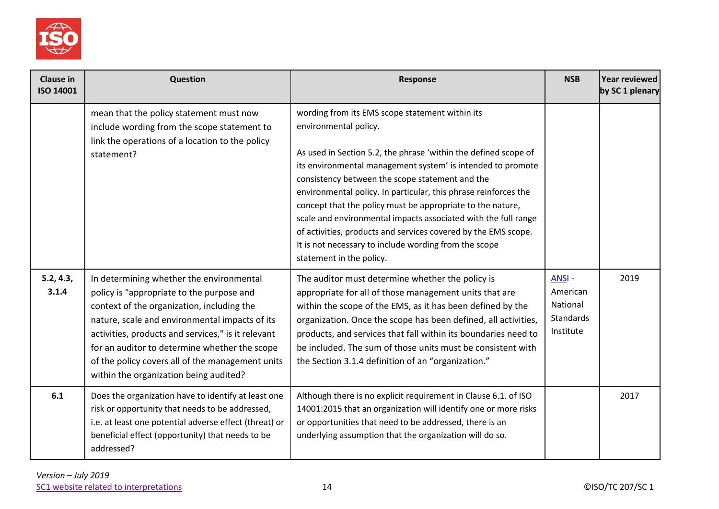

| Clause in<br><b>ISO 14001</b> | Question                                                                                                                                                                                                                                                                                                                                                                                   | <b>Response</b>                                                                                                                                                                                                                                                                                                                                                                                                                                                                                                                                                                                                         | <b>NSB</b>                                                     | Year reviewed<br>by SC 1 plenary |
|-------------------------------|--------------------------------------------------------------------------------------------------------------------------------------------------------------------------------------------------------------------------------------------------------------------------------------------------------------------------------------------------------------------------------------------|-------------------------------------------------------------------------------------------------------------------------------------------------------------------------------------------------------------------------------------------------------------------------------------------------------------------------------------------------------------------------------------------------------------------------------------------------------------------------------------------------------------------------------------------------------------------------------------------------------------------------|----------------------------------------------------------------|----------------------------------|
|                               | mean that the policy statement must now<br>include wording from the scope statement to<br>link the operations of a location to the policy<br>statement?                                                                                                                                                                                                                                    | wording from its EMS scope statement within its<br>environmental policy.<br>As used in Section 5.2, the phrase 'within the defined scope of<br>its environmental management system' is intended to promote<br>consistency between the scope statement and the<br>environmental policy. In particular, this phrase reinforces the<br>concept that the policy must be appropriate to the nature,<br>scale and environmental impacts associated with the full range<br>of activities, products and services covered by the EMS scope.<br>It is not necessary to include wording from the scope<br>statement in the policy. |                                                                |                                  |
| 5.2, 4.3,<br>3.1.4            | In determining whether the environmental<br>policy is "appropriate to the purpose and<br>context of the organization, including the<br>nature, scale and environmental impacts of its<br>activities, products and services," is it relevant<br>for an auditor to determine whether the scope<br>of the policy covers all of the management units<br>within the organization being audited? | The auditor must determine whether the policy is<br>appropriate for all of those management units that are<br>within the scope of the EMS, as it has been defined by the<br>organization. Once the scope has been defined, all activities,<br>products, and services that fall within its boundaries need to<br>be included. The sum of those units must be consistent with<br>the Section 3.1.4 definition of an "organization."                                                                                                                                                                                       | <b>ANSI-</b><br>American<br>National<br>Standards<br>Institute | 2019                             |
| 6.1                           | Does the organization have to identify at least one<br>risk or opportunity that needs to be addressed,<br>i.e. at least one potential adverse effect (threat) or<br>beneficial effect (opportunity) that needs to be<br>addressed?                                                                                                                                                         | Although there is no explicit requirement in Clause 6.1. of ISO<br>14001:2015 that an organization will identify one or more risks<br>or opportunities that need to be addressed, there is an<br>underlying assumption that the organization will do so.                                                                                                                                                                                                                                                                                                                                                                |                                                                | 2017                             |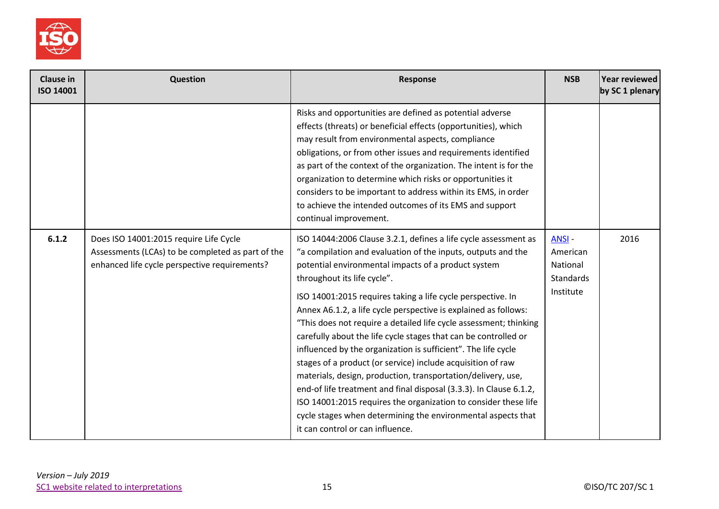

| <b>Clause in</b><br><b>ISO 14001</b> | Question                                                                                                                                     | <b>Response</b>                                                                                                                                                                                                                                                                                                                                                                                                                                                                                                                                                                                                                                                                                                                                                                                                                                                                                                                              | <b>NSB</b>                                                     | Year reviewed<br>by SC 1 plenary |
|--------------------------------------|----------------------------------------------------------------------------------------------------------------------------------------------|----------------------------------------------------------------------------------------------------------------------------------------------------------------------------------------------------------------------------------------------------------------------------------------------------------------------------------------------------------------------------------------------------------------------------------------------------------------------------------------------------------------------------------------------------------------------------------------------------------------------------------------------------------------------------------------------------------------------------------------------------------------------------------------------------------------------------------------------------------------------------------------------------------------------------------------------|----------------------------------------------------------------|----------------------------------|
|                                      |                                                                                                                                              | Risks and opportunities are defined as potential adverse<br>effects (threats) or beneficial effects (opportunities), which<br>may result from environmental aspects, compliance<br>obligations, or from other issues and requirements identified<br>as part of the context of the organization. The intent is for the<br>organization to determine which risks or opportunities it<br>considers to be important to address within its EMS, in order<br>to achieve the intended outcomes of its EMS and support<br>continual improvement.                                                                                                                                                                                                                                                                                                                                                                                                     |                                                                |                                  |
| 6.1.2                                | Does ISO 14001:2015 require Life Cycle<br>Assessments (LCAs) to be completed as part of the<br>enhanced life cycle perspective requirements? | ISO 14044:2006 Clause 3.2.1, defines a life cycle assessment as<br>"a compilation and evaluation of the inputs, outputs and the<br>potential environmental impacts of a product system<br>throughout its life cycle".<br>ISO 14001:2015 requires taking a life cycle perspective. In<br>Annex A6.1.2, a life cycle perspective is explained as follows:<br>"This does not require a detailed life cycle assessment; thinking<br>carefully about the life cycle stages that can be controlled or<br>influenced by the organization is sufficient". The life cycle<br>stages of a product (or service) include acquisition of raw<br>materials, design, production, transportation/delivery, use,<br>end-of life treatment and final disposal (3.3.3). In Clause 6.1.2,<br>ISO 14001:2015 requires the organization to consider these life<br>cycle stages when determining the environmental aspects that<br>it can control or can influence. | <b>ANSI-</b><br>American<br>National<br>Standards<br>Institute | 2016                             |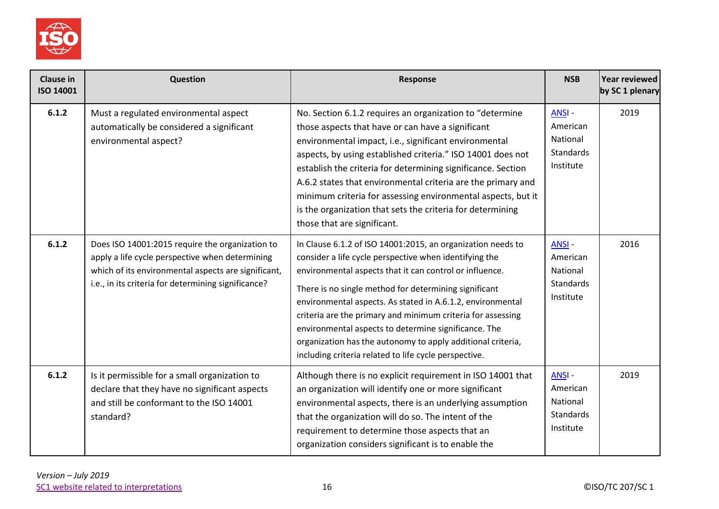

| <b>Clause in</b><br><b>ISO 14001</b> | Question                                                                                                                                                                                                         | Response                                                                                                                                                                                                                                                                                                                                                                                                                                                                                                                                               | <b>NSB</b>                                                     | Year reviewed<br>by SC 1 plenary |
|--------------------------------------|------------------------------------------------------------------------------------------------------------------------------------------------------------------------------------------------------------------|--------------------------------------------------------------------------------------------------------------------------------------------------------------------------------------------------------------------------------------------------------------------------------------------------------------------------------------------------------------------------------------------------------------------------------------------------------------------------------------------------------------------------------------------------------|----------------------------------------------------------------|----------------------------------|
| 6.1.2                                | Must a regulated environmental aspect<br>automatically be considered a significant<br>environmental aspect?                                                                                                      | No. Section 6.1.2 requires an organization to "determine<br>those aspects that have or can have a significant<br>environmental impact, i.e., significant environmental<br>aspects, by using established criteria." ISO 14001 does not<br>establish the criteria for determining significance. Section<br>A.6.2 states that environmental criteria are the primary and<br>minimum criteria for assessing environmental aspects, but it<br>is the organization that sets the criteria for determining<br>those that are significant.                     | ANSI-<br>American<br>National<br><b>Standards</b><br>Institute | 2019                             |
| 6.1.2                                | Does ISO 14001:2015 require the organization to<br>apply a life cycle perspective when determining<br>which of its environmental aspects are significant,<br>i.e., in its criteria for determining significance? | In Clause 6.1.2 of ISO 14001:2015, an organization needs to<br>consider a life cycle perspective when identifying the<br>environmental aspects that it can control or influence.<br>There is no single method for determining significant<br>environmental aspects. As stated in A.6.1.2, environmental<br>criteria are the primary and minimum criteria for assessing<br>environmental aspects to determine significance. The<br>organization has the autonomy to apply additional criteria,<br>including criteria related to life cycle perspective. | <b>ANSI-</b><br>American<br>National<br>Standards<br>Institute | 2016                             |
| 6.1.2                                | Is it permissible for a small organization to<br>declare that they have no significant aspects<br>and still be conformant to the ISO 14001<br>standard?                                                          | Although there is no explicit requirement in ISO 14001 that<br>an organization will identify one or more significant<br>environmental aspects, there is an underlying assumption<br>that the organization will do so. The intent of the<br>requirement to determine those aspects that an<br>organization considers significant is to enable the                                                                                                                                                                                                       | ANSI-<br>American<br>National<br>Standards<br>Institute        | 2019                             |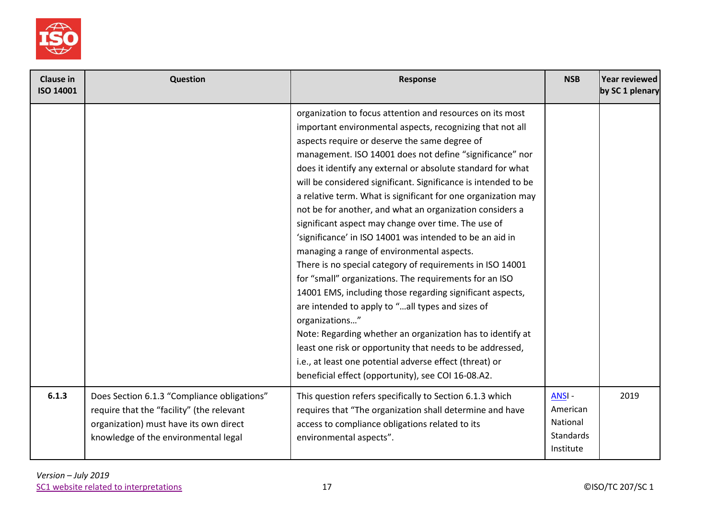

| <b>Clause in</b><br><b>ISO 14001</b> | <b>Question</b>                                                                                                                                                            | <b>Response</b>                                                                                                                                                                                                                                                                                                                                                                                                                                                                                                                                                                                                                                                                                                                                                                                                                                                                                                                                                                                                                                                                                                                                                          | <b>NSB</b>                                                     | Year reviewed<br>by SC 1 plenary |
|--------------------------------------|----------------------------------------------------------------------------------------------------------------------------------------------------------------------------|--------------------------------------------------------------------------------------------------------------------------------------------------------------------------------------------------------------------------------------------------------------------------------------------------------------------------------------------------------------------------------------------------------------------------------------------------------------------------------------------------------------------------------------------------------------------------------------------------------------------------------------------------------------------------------------------------------------------------------------------------------------------------------------------------------------------------------------------------------------------------------------------------------------------------------------------------------------------------------------------------------------------------------------------------------------------------------------------------------------------------------------------------------------------------|----------------------------------------------------------------|----------------------------------|
|                                      |                                                                                                                                                                            | organization to focus attention and resources on its most<br>important environmental aspects, recognizing that not all<br>aspects require or deserve the same degree of<br>management. ISO 14001 does not define "significance" nor<br>does it identify any external or absolute standard for what<br>will be considered significant. Significance is intended to be<br>a relative term. What is significant for one organization may<br>not be for another, and what an organization considers a<br>significant aspect may change over time. The use of<br>'significance' in ISO 14001 was intended to be an aid in<br>managing a range of environmental aspects.<br>There is no special category of requirements in ISO 14001<br>for "small" organizations. The requirements for an ISO<br>14001 EMS, including those regarding significant aspects,<br>are intended to apply to "all types and sizes of<br>organizations"<br>Note: Regarding whether an organization has to identify at<br>least one risk or opportunity that needs to be addressed,<br>i.e., at least one potential adverse effect (threat) or<br>beneficial effect (opportunity), see COI 16-08.A2. |                                                                |                                  |
| 6.1.3                                | Does Section 6.1.3 "Compliance obligations"<br>require that the "facility" (the relevant<br>organization) must have its own direct<br>knowledge of the environmental legal | This question refers specifically to Section 6.1.3 which<br>requires that "The organization shall determine and have<br>access to compliance obligations related to its<br>environmental aspects".                                                                                                                                                                                                                                                                                                                                                                                                                                                                                                                                                                                                                                                                                                                                                                                                                                                                                                                                                                       | ANSI-<br>American<br>National<br><b>Standards</b><br>Institute | 2019                             |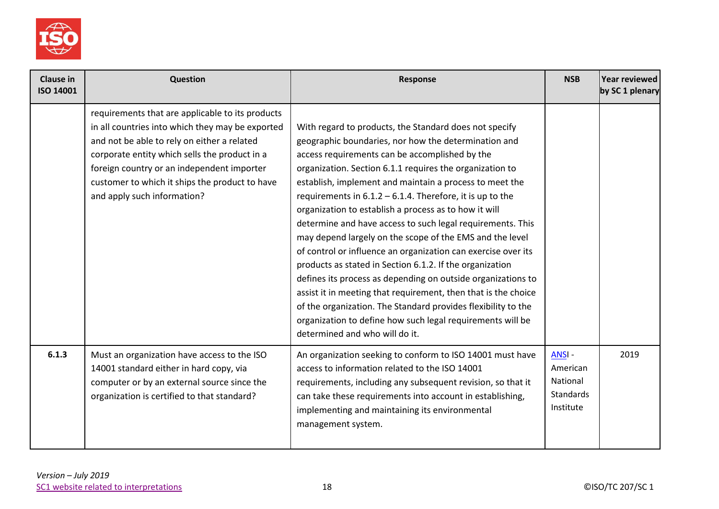

| <b>Clause in</b><br>ISO 14001 | Question                                                                                                                                                                                                                                                                                                                            | <b>Response</b>                                                                                                                                                                                                                                                                                                                                                                                                                                                                                                                                                                                                                                                                                                                                                                                                                                                                                                                                                            | <b>NSB</b>                                                            | Year reviewed<br>by SC 1 plenary |
|-------------------------------|-------------------------------------------------------------------------------------------------------------------------------------------------------------------------------------------------------------------------------------------------------------------------------------------------------------------------------------|----------------------------------------------------------------------------------------------------------------------------------------------------------------------------------------------------------------------------------------------------------------------------------------------------------------------------------------------------------------------------------------------------------------------------------------------------------------------------------------------------------------------------------------------------------------------------------------------------------------------------------------------------------------------------------------------------------------------------------------------------------------------------------------------------------------------------------------------------------------------------------------------------------------------------------------------------------------------------|-----------------------------------------------------------------------|----------------------------------|
|                               | requirements that are applicable to its products<br>in all countries into which they may be exported<br>and not be able to rely on either a related<br>corporate entity which sells the product in a<br>foreign country or an independent importer<br>customer to which it ships the product to have<br>and apply such information? | With regard to products, the Standard does not specify<br>geographic boundaries, nor how the determination and<br>access requirements can be accomplished by the<br>organization. Section 6.1.1 requires the organization to<br>establish, implement and maintain a process to meet the<br>requirements in $6.1.2 - 6.1.4$ . Therefore, it is up to the<br>organization to establish a process as to how it will<br>determine and have access to such legal requirements. This<br>may depend largely on the scope of the EMS and the level<br>of control or influence an organization can exercise over its<br>products as stated in Section 6.1.2. If the organization<br>defines its process as depending on outside organizations to<br>assist it in meeting that requirement, then that is the choice<br>of the organization. The Standard provides flexibility to the<br>organization to define how such legal requirements will be<br>determined and who will do it. |                                                                       |                                  |
| 6.1.3                         | Must an organization have access to the ISO<br>14001 standard either in hard copy, via<br>computer or by an external source since the<br>organization is certified to that standard?                                                                                                                                                | An organization seeking to conform to ISO 14001 must have<br>access to information related to the ISO 14001<br>requirements, including any subsequent revision, so that it<br>can take these requirements into account in establishing,<br>implementing and maintaining its environmental<br>management system.                                                                                                                                                                                                                                                                                                                                                                                                                                                                                                                                                                                                                                                            | <b>ANSI-</b><br>American<br>National<br><b>Standards</b><br>Institute | 2019                             |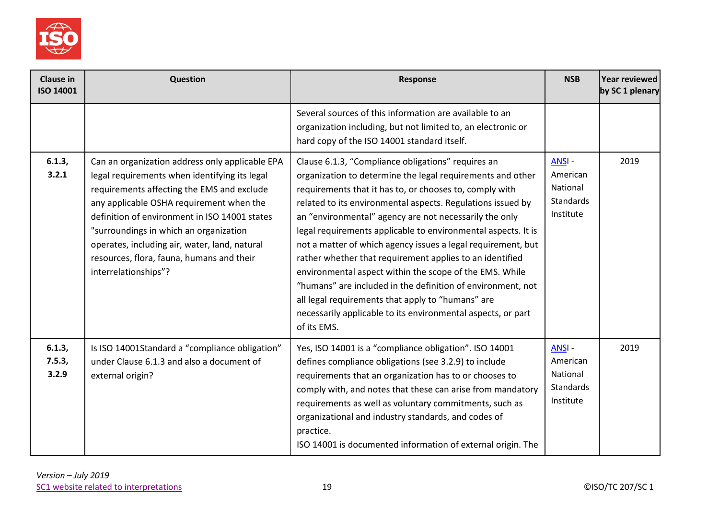

| <b>Clause in</b><br>ISO 14001 | Question                                                                                                                                                                                                                                                                                                                                                                                                    | Response                                                                                                                                                                                                                                                                                                                                                                                                                                                                                                                                                                                                                                                                                                                                                        | <b>NSB</b>                                                     | Year reviewed<br>by SC 1 plenary |
|-------------------------------|-------------------------------------------------------------------------------------------------------------------------------------------------------------------------------------------------------------------------------------------------------------------------------------------------------------------------------------------------------------------------------------------------------------|-----------------------------------------------------------------------------------------------------------------------------------------------------------------------------------------------------------------------------------------------------------------------------------------------------------------------------------------------------------------------------------------------------------------------------------------------------------------------------------------------------------------------------------------------------------------------------------------------------------------------------------------------------------------------------------------------------------------------------------------------------------------|----------------------------------------------------------------|----------------------------------|
|                               |                                                                                                                                                                                                                                                                                                                                                                                                             | Several sources of this information are available to an<br>organization including, but not limited to, an electronic or<br>hard copy of the ISO 14001 standard itself.                                                                                                                                                                                                                                                                                                                                                                                                                                                                                                                                                                                          |                                                                |                                  |
| 6.1.3,<br>3.2.1               | Can an organization address only applicable EPA<br>legal requirements when identifying its legal<br>requirements affecting the EMS and exclude<br>any applicable OSHA requirement when the<br>definition of environment in ISO 14001 states<br>"surroundings in which an organization<br>operates, including air, water, land, natural<br>resources, flora, fauna, humans and their<br>interrelationships"? | Clause 6.1.3, "Compliance obligations" requires an<br>organization to determine the legal requirements and other<br>requirements that it has to, or chooses to, comply with<br>related to its environmental aspects. Regulations issued by<br>an "environmental" agency are not necessarily the only<br>legal requirements applicable to environmental aspects. It is<br>not a matter of which agency issues a legal requirement, but<br>rather whether that requirement applies to an identified<br>environmental aspect within the scope of the EMS. While<br>"humans" are included in the definition of environment, not<br>all legal requirements that apply to "humans" are<br>necessarily applicable to its environmental aspects, or part<br>of its EMS. | ANSI-<br>American<br>National<br>Standards<br>Institute        | 2019                             |
| 6.1.3,<br>7.5.3,<br>3.2.9     | Is ISO 14001Standard a "compliance obligation"<br>under Clause 6.1.3 and also a document of<br>external origin?                                                                                                                                                                                                                                                                                             | Yes, ISO 14001 is a "compliance obligation". ISO 14001<br>defines compliance obligations (see 3.2.9) to include<br>requirements that an organization has to or chooses to<br>comply with, and notes that these can arise from mandatory<br>requirements as well as voluntary commitments, such as<br>organizational and industry standards, and codes of<br>practice.<br>ISO 14001 is documented information of external origin. The                                                                                                                                                                                                                                                                                                                            | ANSI-<br>American<br>National<br><b>Standards</b><br>Institute | 2019                             |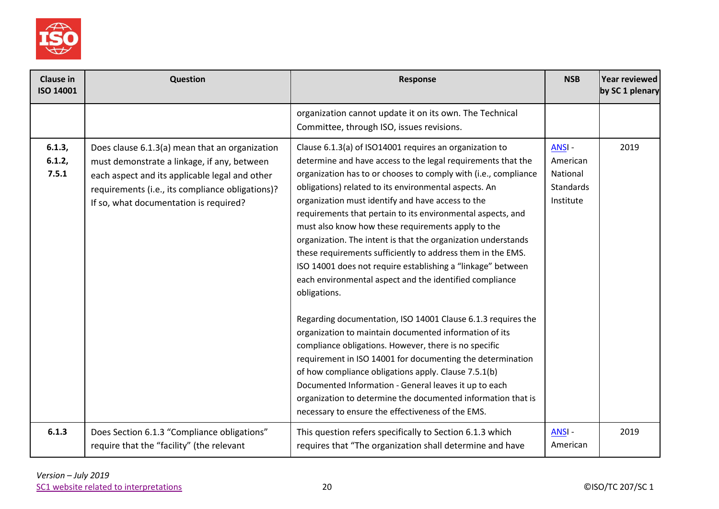

| <b>Clause in</b><br>ISO 14001 | Question                                                                                                                                                                                                                                      | Response                                                                                                                                                                                                                                                                                                                                                                                                                                                                                                                                                                                                                                                                                                                                                                                                                                                                                                                                                                                                                                                                                                                                                                                       | <b>NSB</b>                                              | Year reviewed<br>by SC 1 plenary |
|-------------------------------|-----------------------------------------------------------------------------------------------------------------------------------------------------------------------------------------------------------------------------------------------|------------------------------------------------------------------------------------------------------------------------------------------------------------------------------------------------------------------------------------------------------------------------------------------------------------------------------------------------------------------------------------------------------------------------------------------------------------------------------------------------------------------------------------------------------------------------------------------------------------------------------------------------------------------------------------------------------------------------------------------------------------------------------------------------------------------------------------------------------------------------------------------------------------------------------------------------------------------------------------------------------------------------------------------------------------------------------------------------------------------------------------------------------------------------------------------------|---------------------------------------------------------|----------------------------------|
|                               |                                                                                                                                                                                                                                               | organization cannot update it on its own. The Technical<br>Committee, through ISO, issues revisions.                                                                                                                                                                                                                                                                                                                                                                                                                                                                                                                                                                                                                                                                                                                                                                                                                                                                                                                                                                                                                                                                                           |                                                         |                                  |
| 6.1.3,<br>6.1.2,<br>7.5.1     | Does clause 6.1.3(a) mean that an organization<br>must demonstrate a linkage, if any, between<br>each aspect and its applicable legal and other<br>requirements (i.e., its compliance obligations)?<br>If so, what documentation is required? | Clause 6.1.3(a) of ISO14001 requires an organization to<br>determine and have access to the legal requirements that the<br>organization has to or chooses to comply with (i.e., compliance<br>obligations) related to its environmental aspects. An<br>organization must identify and have access to the<br>requirements that pertain to its environmental aspects, and<br>must also know how these requirements apply to the<br>organization. The intent is that the organization understands<br>these requirements sufficiently to address them in the EMS.<br>ISO 14001 does not require establishing a "linkage" between<br>each environmental aspect and the identified compliance<br>obligations.<br>Regarding documentation, ISO 14001 Clause 6.1.3 requires the<br>organization to maintain documented information of its<br>compliance obligations. However, there is no specific<br>requirement in ISO 14001 for documenting the determination<br>of how compliance obligations apply. Clause 7.5.1(b)<br>Documented Information - General leaves it up to each<br>organization to determine the documented information that is<br>necessary to ensure the effectiveness of the EMS. | ANSI-<br>American<br>National<br>Standards<br>Institute | 2019                             |
| 6.1.3                         | Does Section 6.1.3 "Compliance obligations"<br>require that the "facility" (the relevant                                                                                                                                                      | This question refers specifically to Section 6.1.3 which<br>requires that "The organization shall determine and have                                                                                                                                                                                                                                                                                                                                                                                                                                                                                                                                                                                                                                                                                                                                                                                                                                                                                                                                                                                                                                                                           | ANSI-<br>American                                       | 2019                             |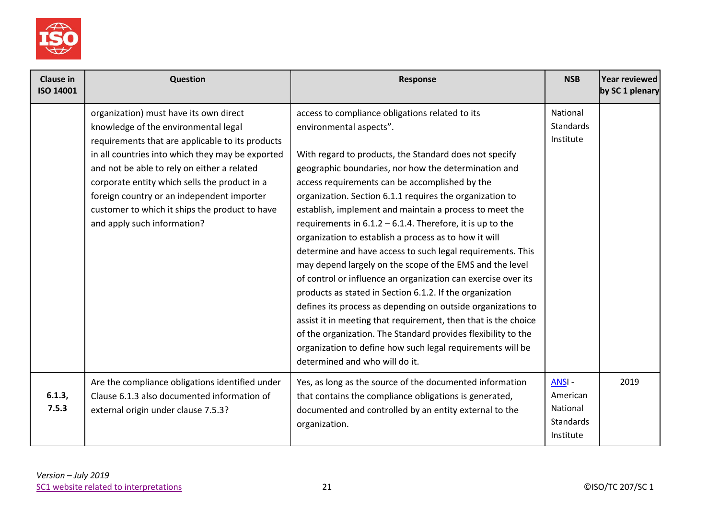

| <b>Clause in</b><br>ISO 14001 | Question                                                                                                                                                                                                                                                                                                                                                                                                              | <b>Response</b>                                                                                                                                                                                                                                                                                                                                                                                                                                                                                                                                                                                                                                                                                                                                                                                                                                                                                                                                                                                                                                          | <b>NSB</b>                                                     | Year reviewed<br>by SC 1 plenary |
|-------------------------------|-----------------------------------------------------------------------------------------------------------------------------------------------------------------------------------------------------------------------------------------------------------------------------------------------------------------------------------------------------------------------------------------------------------------------|----------------------------------------------------------------------------------------------------------------------------------------------------------------------------------------------------------------------------------------------------------------------------------------------------------------------------------------------------------------------------------------------------------------------------------------------------------------------------------------------------------------------------------------------------------------------------------------------------------------------------------------------------------------------------------------------------------------------------------------------------------------------------------------------------------------------------------------------------------------------------------------------------------------------------------------------------------------------------------------------------------------------------------------------------------|----------------------------------------------------------------|----------------------------------|
|                               | organization) must have its own direct<br>knowledge of the environmental legal<br>requirements that are applicable to its products<br>in all countries into which they may be exported<br>and not be able to rely on either a related<br>corporate entity which sells the product in a<br>foreign country or an independent importer<br>customer to which it ships the product to have<br>and apply such information? | access to compliance obligations related to its<br>environmental aspects".<br>With regard to products, the Standard does not specify<br>geographic boundaries, nor how the determination and<br>access requirements can be accomplished by the<br>organization. Section 6.1.1 requires the organization to<br>establish, implement and maintain a process to meet the<br>requirements in $6.1.2 - 6.1.4$ . Therefore, it is up to the<br>organization to establish a process as to how it will<br>determine and have access to such legal requirements. This<br>may depend largely on the scope of the EMS and the level<br>of control or influence an organization can exercise over its<br>products as stated in Section 6.1.2. If the organization<br>defines its process as depending on outside organizations to<br>assist it in meeting that requirement, then that is the choice<br>of the organization. The Standard provides flexibility to the<br>organization to define how such legal requirements will be<br>determined and who will do it. | National<br><b>Standards</b><br>Institute                      |                                  |
| 6.1.3,<br>7.5.3               | Are the compliance obligations identified under<br>Clause 6.1.3 also documented information of<br>external origin under clause 7.5.3?                                                                                                                                                                                                                                                                                 | Yes, as long as the source of the documented information<br>that contains the compliance obligations is generated,<br>documented and controlled by an entity external to the<br>organization.                                                                                                                                                                                                                                                                                                                                                                                                                                                                                                                                                                                                                                                                                                                                                                                                                                                            | ANSI-<br>American<br>National<br><b>Standards</b><br>Institute | 2019                             |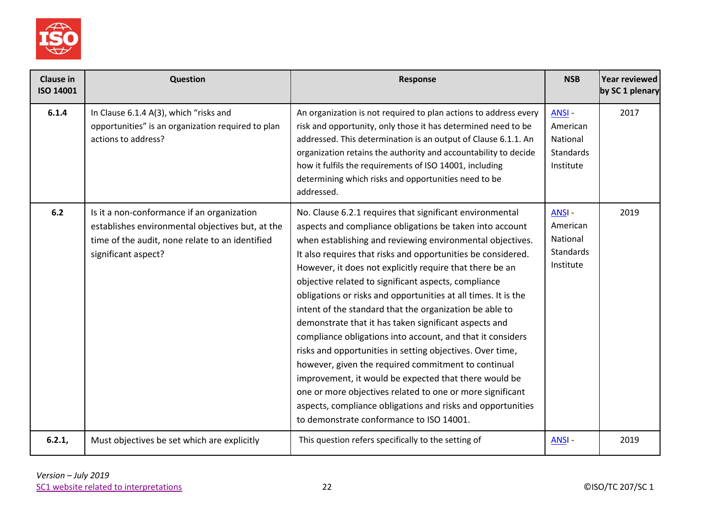

| <b>Clause in</b><br>ISO 14001 | Question                                                                                                                                                                 | Response                                                                                                                                                                                                                                                                                                                                                                                                                                                                                                                                                                                                                                                                                                                                                                                                                                                                                                                                                                       | <b>NSB</b>                                                            | Year reviewed<br>by SC 1 plenary |
|-------------------------------|--------------------------------------------------------------------------------------------------------------------------------------------------------------------------|--------------------------------------------------------------------------------------------------------------------------------------------------------------------------------------------------------------------------------------------------------------------------------------------------------------------------------------------------------------------------------------------------------------------------------------------------------------------------------------------------------------------------------------------------------------------------------------------------------------------------------------------------------------------------------------------------------------------------------------------------------------------------------------------------------------------------------------------------------------------------------------------------------------------------------------------------------------------------------|-----------------------------------------------------------------------|----------------------------------|
| 6.1.4                         | In Clause 6.1.4 A(3), which "risks and<br>opportunities" is an organization required to plan<br>actions to address?                                                      | An organization is not required to plan actions to address every<br>risk and opportunity, only those it has determined need to be<br>addressed. This determination is an output of Clause 6.1.1. An<br>organization retains the authority and accountability to decide<br>how it fulfils the requirements of ISO 14001, including<br>determining which risks and opportunities need to be<br>addressed.                                                                                                                                                                                                                                                                                                                                                                                                                                                                                                                                                                        | <b>ANSI-</b><br>American<br>National<br><b>Standards</b><br>Institute | 2017                             |
| 6.2                           | Is it a non-conformance if an organization<br>establishes environmental objectives but, at the<br>time of the audit, none relate to an identified<br>significant aspect? | No. Clause 6.2.1 requires that significant environmental<br>aspects and compliance obligations be taken into account<br>when establishing and reviewing environmental objectives.<br>It also requires that risks and opportunities be considered.<br>However, it does not explicitly require that there be an<br>objective related to significant aspects, compliance<br>obligations or risks and opportunities at all times. It is the<br>intent of the standard that the organization be able to<br>demonstrate that it has taken significant aspects and<br>compliance obligations into account, and that it considers<br>risks and opportunities in setting objectives. Over time,<br>however, given the required commitment to continual<br>improvement, it would be expected that there would be<br>one or more objectives related to one or more significant<br>aspects, compliance obligations and risks and opportunities<br>to demonstrate conformance to ISO 14001. | ANSI-<br>American<br>National<br><b>Standards</b><br>Institute        | 2019                             |
| 6.2.1,                        | Must objectives be set which are explicitly                                                                                                                              | This question refers specifically to the setting of                                                                                                                                                                                                                                                                                                                                                                                                                                                                                                                                                                                                                                                                                                                                                                                                                                                                                                                            | <b>ANSI-</b>                                                          | 2019                             |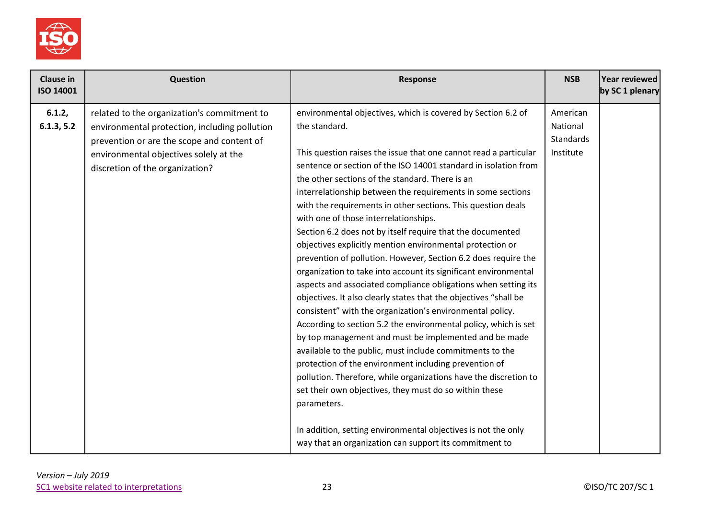

| <b>Clause in</b><br>ISO 14001 | <b>Question</b>                                                                                                                                                                                                         | Response                                                                                                                                                                                                                                                                                                                                                                                                                                                                                                                                                                                                                                                                                                                                                                                                                                                                                                                                                                                                                                                                                                                                                                                                                                                                                                         | <b>NSB</b>                                     | Year reviewed<br>by SC 1 plenary |
|-------------------------------|-------------------------------------------------------------------------------------------------------------------------------------------------------------------------------------------------------------------------|------------------------------------------------------------------------------------------------------------------------------------------------------------------------------------------------------------------------------------------------------------------------------------------------------------------------------------------------------------------------------------------------------------------------------------------------------------------------------------------------------------------------------------------------------------------------------------------------------------------------------------------------------------------------------------------------------------------------------------------------------------------------------------------------------------------------------------------------------------------------------------------------------------------------------------------------------------------------------------------------------------------------------------------------------------------------------------------------------------------------------------------------------------------------------------------------------------------------------------------------------------------------------------------------------------------|------------------------------------------------|----------------------------------|
| 6.1.2,<br>6.1.3, 5.2          | related to the organization's commitment to<br>environmental protection, including pollution<br>prevention or are the scope and content of<br>environmental objectives solely at the<br>discretion of the organization? | environmental objectives, which is covered by Section 6.2 of<br>the standard.<br>This question raises the issue that one cannot read a particular<br>sentence or section of the ISO 14001 standard in isolation from<br>the other sections of the standard. There is an<br>interrelationship between the requirements in some sections<br>with the requirements in other sections. This question deals<br>with one of those interrelationships.<br>Section 6.2 does not by itself require that the documented<br>objectives explicitly mention environmental protection or<br>prevention of pollution. However, Section 6.2 does require the<br>organization to take into account its significant environmental<br>aspects and associated compliance obligations when setting its<br>objectives. It also clearly states that the objectives "shall be<br>consistent" with the organization's environmental policy.<br>According to section 5.2 the environmental policy, which is set<br>by top management and must be implemented and be made<br>available to the public, must include commitments to the<br>protection of the environment including prevention of<br>pollution. Therefore, while organizations have the discretion to<br>set their own objectives, they must do so within these<br>parameters. | American<br>National<br>Standards<br>Institute |                                  |
|                               |                                                                                                                                                                                                                         | In addition, setting environmental objectives is not the only<br>way that an organization can support its commitment to                                                                                                                                                                                                                                                                                                                                                                                                                                                                                                                                                                                                                                                                                                                                                                                                                                                                                                                                                                                                                                                                                                                                                                                          |                                                |                                  |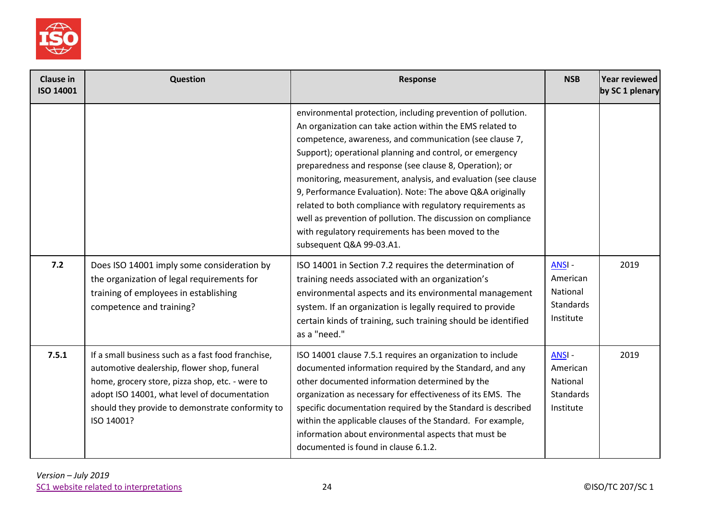

| <b>Clause in</b><br><b>ISO 14001</b> | Question                                                                                                                                                                                                                                                               | <b>Response</b>                                                                                                                                                                                                                                                                                                                                                                                                                                                                                                                                                                                                                                             | <b>NSB</b>                                                     | Year reviewed<br>by SC 1 plenary |
|--------------------------------------|------------------------------------------------------------------------------------------------------------------------------------------------------------------------------------------------------------------------------------------------------------------------|-------------------------------------------------------------------------------------------------------------------------------------------------------------------------------------------------------------------------------------------------------------------------------------------------------------------------------------------------------------------------------------------------------------------------------------------------------------------------------------------------------------------------------------------------------------------------------------------------------------------------------------------------------------|----------------------------------------------------------------|----------------------------------|
|                                      |                                                                                                                                                                                                                                                                        | environmental protection, including prevention of pollution.<br>An organization can take action within the EMS related to<br>competence, awareness, and communication (see clause 7,<br>Support); operational planning and control, or emergency<br>preparedness and response (see clause 8, Operation); or<br>monitoring, measurement, analysis, and evaluation (see clause<br>9, Performance Evaluation). Note: The above Q&A originally<br>related to both compliance with regulatory requirements as<br>well as prevention of pollution. The discussion on compliance<br>with regulatory requirements has been moved to the<br>subsequent Q&A 99-03.A1. |                                                                |                                  |
| 7.2                                  | Does ISO 14001 imply some consideration by<br>the organization of legal requirements for<br>training of employees in establishing<br>competence and training?                                                                                                          | ISO 14001 in Section 7.2 requires the determination of<br>training needs associated with an organization's<br>environmental aspects and its environmental management<br>system. If an organization is legally required to provide<br>certain kinds of training, such training should be identified<br>as a "need."                                                                                                                                                                                                                                                                                                                                          | ANSI-<br>American<br>National<br><b>Standards</b><br>Institute | 2019                             |
| 7.5.1                                | If a small business such as a fast food franchise,<br>automotive dealership, flower shop, funeral<br>home, grocery store, pizza shop, etc. - were to<br>adopt ISO 14001, what level of documentation<br>should they provide to demonstrate conformity to<br>ISO 14001? | ISO 14001 clause 7.5.1 requires an organization to include<br>documented information required by the Standard, and any<br>other documented information determined by the<br>organization as necessary for effectiveness of its EMS. The<br>specific documentation required by the Standard is described<br>within the applicable clauses of the Standard. For example,<br>information about environmental aspects that must be<br>documented is found in clause 6.1.2.                                                                                                                                                                                      | ANSI-<br>American<br>National<br><b>Standards</b><br>Institute | 2019                             |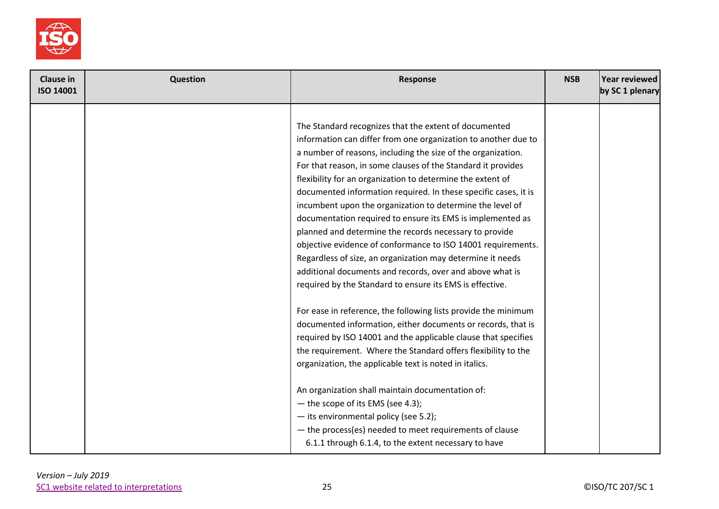

| <b>Clause in</b><br><b>ISO 14001</b> | Question | <b>Response</b>                                                 | <b>NSB</b> | Year reviewed<br>by SC 1 plenary |
|--------------------------------------|----------|-----------------------------------------------------------------|------------|----------------------------------|
|                                      |          |                                                                 |            |                                  |
|                                      |          | The Standard recognizes that the extent of documented           |            |                                  |
|                                      |          | information can differ from one organization to another due to  |            |                                  |
|                                      |          | a number of reasons, including the size of the organization.    |            |                                  |
|                                      |          | For that reason, in some clauses of the Standard it provides    |            |                                  |
|                                      |          | flexibility for an organization to determine the extent of      |            |                                  |
|                                      |          | documented information required. In these specific cases, it is |            |                                  |
|                                      |          | incumbent upon the organization to determine the level of       |            |                                  |
|                                      |          | documentation required to ensure its EMS is implemented as      |            |                                  |
|                                      |          | planned and determine the records necessary to provide          |            |                                  |
|                                      |          | objective evidence of conformance to ISO 14001 requirements.    |            |                                  |
|                                      |          | Regardless of size, an organization may determine it needs      |            |                                  |
|                                      |          | additional documents and records, over and above what is        |            |                                  |
|                                      |          | required by the Standard to ensure its EMS is effective.        |            |                                  |
|                                      |          | For ease in reference, the following lists provide the minimum  |            |                                  |
|                                      |          | documented information, either documents or records, that is    |            |                                  |
|                                      |          | required by ISO 14001 and the applicable clause that specifies  |            |                                  |
|                                      |          | the requirement. Where the Standard offers flexibility to the   |            |                                  |
|                                      |          | organization, the applicable text is noted in italics.          |            |                                  |
|                                      |          | An organization shall maintain documentation of:                |            |                                  |
|                                      |          | - the scope of its EMS (see 4.3);                               |            |                                  |
|                                      |          | - its environmental policy (see 5.2);                           |            |                                  |
|                                      |          | - the process(es) needed to meet requirements of clause         |            |                                  |
|                                      |          | 6.1.1 through 6.1.4, to the extent necessary to have            |            |                                  |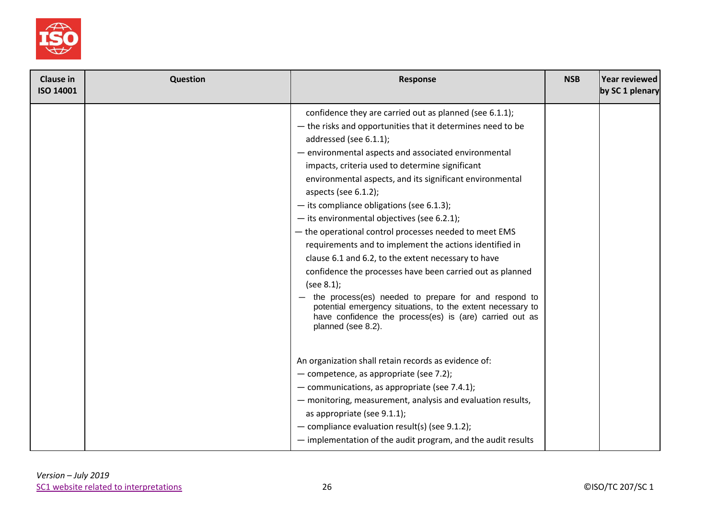

| Clause in<br><b>ISO 14001</b> | Question | <b>Response</b>                                                                                                                                                                                                                                                                                                                                                                                                                                                                                                                                                                                                                                                                                                                                                                                                                                                                                                     | <b>NSB</b> | Year reviewed<br>by SC 1 plenary |
|-------------------------------|----------|---------------------------------------------------------------------------------------------------------------------------------------------------------------------------------------------------------------------------------------------------------------------------------------------------------------------------------------------------------------------------------------------------------------------------------------------------------------------------------------------------------------------------------------------------------------------------------------------------------------------------------------------------------------------------------------------------------------------------------------------------------------------------------------------------------------------------------------------------------------------------------------------------------------------|------------|----------------------------------|
|                               |          | confidence they are carried out as planned (see 6.1.1);<br>- the risks and opportunities that it determines need to be<br>addressed (see 6.1.1);<br>- environmental aspects and associated environmental<br>impacts, criteria used to determine significant<br>environmental aspects, and its significant environmental<br>aspects (see $6.1.2$ );<br>$-$ its compliance obligations (see 6.1.3);<br>$-$ its environmental objectives (see 6.2.1);<br>- the operational control processes needed to meet EMS<br>requirements and to implement the actions identified in<br>clause 6.1 and 6.2, to the extent necessary to have<br>confidence the processes have been carried out as planned<br>(see $8.1$ );<br>the process(es) needed to prepare for and respond to<br>potential emergency situations, to the extent necessary to<br>have confidence the process(es) is (are) carried out as<br>planned (see 8.2). |            |                                  |
|                               |          | An organization shall retain records as evidence of:<br>- competence, as appropriate (see 7.2);<br>- communications, as appropriate (see 7.4.1);<br>- monitoring, measurement, analysis and evaluation results,<br>as appropriate (see 9.1.1);<br>- compliance evaluation result(s) (see $9.1.2$ );<br>- implementation of the audit program, and the audit results                                                                                                                                                                                                                                                                                                                                                                                                                                                                                                                                                 |            |                                  |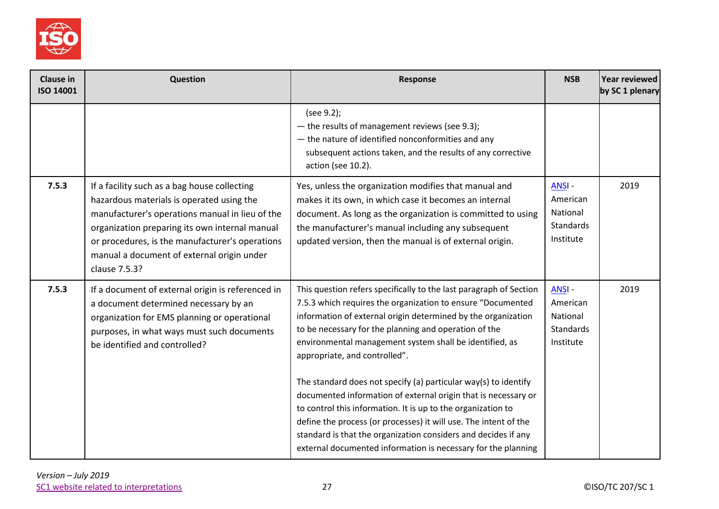

| <b>Clause in</b><br><b>ISO 14001</b> | Question                                                                                                                                                                                                                                                                                                         | Response                                                                                                                                                                                                                                                                                                                                                                                                                                                                                                                                                                                                                                                                                                                                                            | <b>NSB</b>                                                            | Year reviewed<br>by SC 1 plenary |
|--------------------------------------|------------------------------------------------------------------------------------------------------------------------------------------------------------------------------------------------------------------------------------------------------------------------------------------------------------------|---------------------------------------------------------------------------------------------------------------------------------------------------------------------------------------------------------------------------------------------------------------------------------------------------------------------------------------------------------------------------------------------------------------------------------------------------------------------------------------------------------------------------------------------------------------------------------------------------------------------------------------------------------------------------------------------------------------------------------------------------------------------|-----------------------------------------------------------------------|----------------------------------|
|                                      |                                                                                                                                                                                                                                                                                                                  | (see 9.2);<br>- the results of management reviews (see 9.3);<br>- the nature of identified nonconformities and any<br>subsequent actions taken, and the results of any corrective<br>action (see 10.2).                                                                                                                                                                                                                                                                                                                                                                                                                                                                                                                                                             |                                                                       |                                  |
| 7.5.3                                | If a facility such as a bag house collecting<br>hazardous materials is operated using the<br>manufacturer's operations manual in lieu of the<br>organization preparing its own internal manual<br>or procedures, is the manufacturer's operations<br>manual a document of external origin under<br>clause 7.5.3? | Yes, unless the organization modifies that manual and<br>makes it its own, in which case it becomes an internal<br>document. As long as the organization is committed to using<br>the manufacturer's manual including any subsequent<br>updated version, then the manual is of external origin.                                                                                                                                                                                                                                                                                                                                                                                                                                                                     | <b>ANSI-</b><br>American<br>National<br><b>Standards</b><br>Institute | 2019                             |
| 7.5.3                                | If a document of external origin is referenced in<br>a document determined necessary by an<br>organization for EMS planning or operational<br>purposes, in what ways must such documents<br>be identified and controlled?                                                                                        | This question refers specifically to the last paragraph of Section<br>7.5.3 which requires the organization to ensure "Documented<br>information of external origin determined by the organization<br>to be necessary for the planning and operation of the<br>environmental management system shall be identified, as<br>appropriate, and controlled".<br>The standard does not specify (a) particular way(s) to identify<br>documented information of external origin that is necessary or<br>to control this information. It is up to the organization to<br>define the process (or processes) it will use. The intent of the<br>standard is that the organization considers and decides if any<br>external documented information is necessary for the planning | ANSI-<br>American<br>National<br><b>Standards</b><br>Institute        | 2019                             |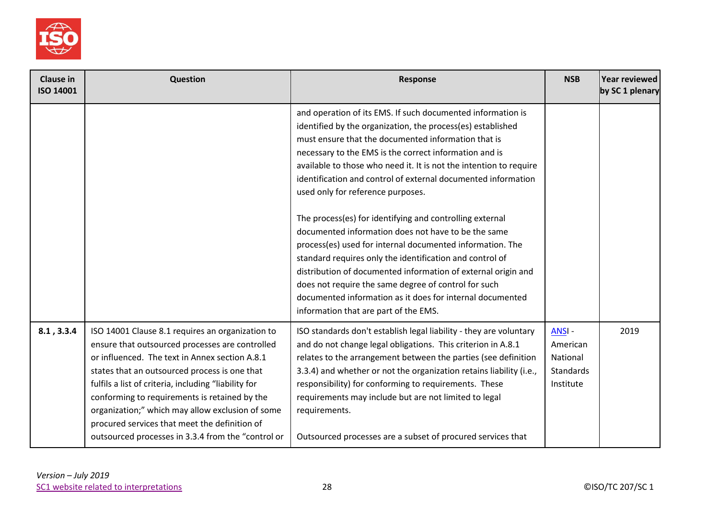

| <b>Clause in</b><br>ISO 14001 | <b>Question</b>                                                                                                                                                                                                                                                                                                                                                                                                                                                            | Response                                                                                                                                                                                                                                                                                                                                                                                                                                                                      | <b>NSB</b>                                                     | Year reviewed<br>by SC 1 plenary |
|-------------------------------|----------------------------------------------------------------------------------------------------------------------------------------------------------------------------------------------------------------------------------------------------------------------------------------------------------------------------------------------------------------------------------------------------------------------------------------------------------------------------|-------------------------------------------------------------------------------------------------------------------------------------------------------------------------------------------------------------------------------------------------------------------------------------------------------------------------------------------------------------------------------------------------------------------------------------------------------------------------------|----------------------------------------------------------------|----------------------------------|
|                               |                                                                                                                                                                                                                                                                                                                                                                                                                                                                            | and operation of its EMS. If such documented information is<br>identified by the organization, the process(es) established<br>must ensure that the documented information that is<br>necessary to the EMS is the correct information and is<br>available to those who need it. It is not the intention to require<br>identification and control of external documented information<br>used only for reference purposes.                                                       |                                                                |                                  |
|                               |                                                                                                                                                                                                                                                                                                                                                                                                                                                                            | The process(es) for identifying and controlling external<br>documented information does not have to be the same<br>process(es) used for internal documented information. The<br>standard requires only the identification and control of<br>distribution of documented information of external origin and<br>does not require the same degree of control for such<br>documented information as it does for internal documented<br>information that are part of the EMS.       |                                                                |                                  |
| 8.1, 3.3.4                    | ISO 14001 Clause 8.1 requires an organization to<br>ensure that outsourced processes are controlled<br>or influenced. The text in Annex section A.8.1<br>states that an outsourced process is one that<br>fulfils a list of criteria, including "liability for<br>conforming to requirements is retained by the<br>organization;" which may allow exclusion of some<br>procured services that meet the definition of<br>outsourced processes in 3.3.4 from the "control or | ISO standards don't establish legal liability - they are voluntary<br>and do not change legal obligations. This criterion in A.8.1<br>relates to the arrangement between the parties (see definition<br>3.3.4) and whether or not the organization retains liability (i.e.,<br>responsibility) for conforming to requirements. These<br>requirements may include but are not limited to legal<br>requirements.<br>Outsourced processes are a subset of procured services that | <b>ANSI-</b><br>American<br>National<br>Standards<br>Institute | 2019                             |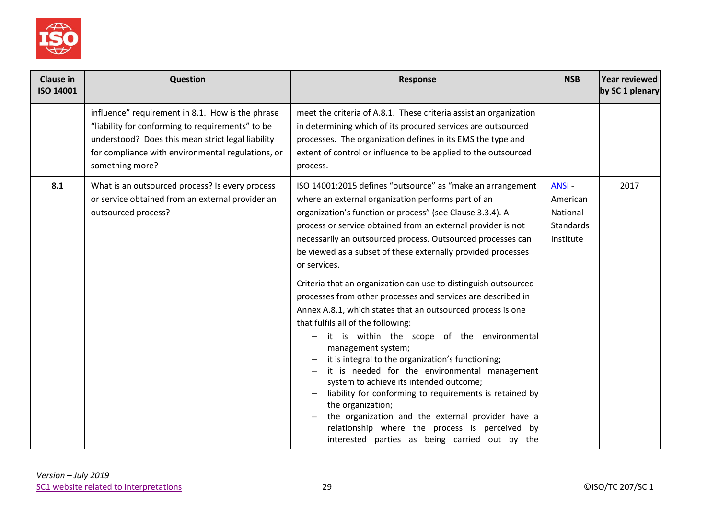

| Clause in<br>ISO 14001 | <b>Question</b>                                                                                                                                                                                                                   | <b>Response</b>                                                                                                                                                                                                                                                                                                                                                                                                                                                                                                                                                                                                                                                                                                                                                                                                                                                                                                                                                                                                                                                                                     | <b>NSB</b>                                              | Year reviewed<br>by SC 1 plenary |
|------------------------|-----------------------------------------------------------------------------------------------------------------------------------------------------------------------------------------------------------------------------------|-----------------------------------------------------------------------------------------------------------------------------------------------------------------------------------------------------------------------------------------------------------------------------------------------------------------------------------------------------------------------------------------------------------------------------------------------------------------------------------------------------------------------------------------------------------------------------------------------------------------------------------------------------------------------------------------------------------------------------------------------------------------------------------------------------------------------------------------------------------------------------------------------------------------------------------------------------------------------------------------------------------------------------------------------------------------------------------------------------|---------------------------------------------------------|----------------------------------|
|                        | influence" requirement in 8.1. How is the phrase<br>"liability for conforming to requirements" to be<br>understood? Does this mean strict legal liability<br>for compliance with environmental regulations, or<br>something more? | meet the criteria of A.8.1. These criteria assist an organization<br>in determining which of its procured services are outsourced<br>processes. The organization defines in its EMS the type and<br>extent of control or influence to be applied to the outsourced<br>process.                                                                                                                                                                                                                                                                                                                                                                                                                                                                                                                                                                                                                                                                                                                                                                                                                      |                                                         |                                  |
| 8.1                    | What is an outsourced process? Is every process<br>or service obtained from an external provider an<br>outsourced process?                                                                                                        | ISO 14001:2015 defines "outsource" as "make an arrangement<br>where an external organization performs part of an<br>organization's function or process" (see Clause 3.3.4). A<br>process or service obtained from an external provider is not<br>necessarily an outsourced process. Outsourced processes can<br>be viewed as a subset of these externally provided processes<br>or services.<br>Criteria that an organization can use to distinguish outsourced<br>processes from other processes and services are described in<br>Annex A.8.1, which states that an outsourced process is one<br>that fulfils all of the following:<br>it is within the scope of the environmental<br>management system;<br>it is integral to the organization's functioning;<br>it is needed for the environmental management<br>system to achieve its intended outcome;<br>liability for conforming to requirements is retained by<br>the organization;<br>the organization and the external provider have a<br>relationship where the process is perceived by<br>interested parties as being carried out by the | ANSI-<br>American<br>National<br>Standards<br>Institute | 2017                             |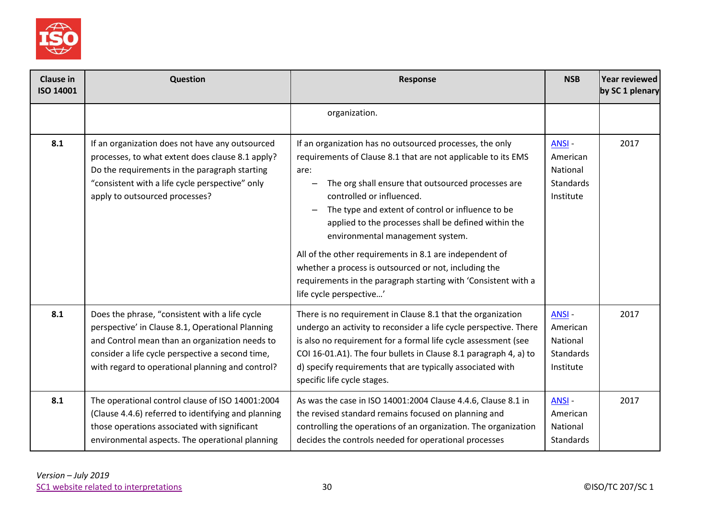

| <b>Clause in</b><br>ISO 14001 | Question                                                                                                                                                                                                                                                     | Response                                                                                                                                                                                                                                                                                                                                                                                                                                                                                                                                                                               | <b>NSB</b>                                                     | Year reviewed<br>by SC 1 plenary |
|-------------------------------|--------------------------------------------------------------------------------------------------------------------------------------------------------------------------------------------------------------------------------------------------------------|----------------------------------------------------------------------------------------------------------------------------------------------------------------------------------------------------------------------------------------------------------------------------------------------------------------------------------------------------------------------------------------------------------------------------------------------------------------------------------------------------------------------------------------------------------------------------------------|----------------------------------------------------------------|----------------------------------|
|                               |                                                                                                                                                                                                                                                              | organization.                                                                                                                                                                                                                                                                                                                                                                                                                                                                                                                                                                          |                                                                |                                  |
| 8.1                           | If an organization does not have any outsourced<br>processes, to what extent does clause 8.1 apply?<br>Do the requirements in the paragraph starting<br>"consistent with a life cycle perspective" only<br>apply to outsourced processes?                    | If an organization has no outsourced processes, the only<br>requirements of Clause 8.1 that are not applicable to its EMS<br>are:<br>The org shall ensure that outsourced processes are<br>controlled or influenced.<br>The type and extent of control or influence to be<br>applied to the processes shall be defined within the<br>environmental management system.<br>All of the other requirements in 8.1 are independent of<br>whether a process is outsourced or not, including the<br>requirements in the paragraph starting with 'Consistent with a<br>life cycle perspective' | ANSI-<br>American<br>National<br>Standards<br>Institute        | 2017                             |
| 8.1                           | Does the phrase, "consistent with a life cycle<br>perspective' in Clause 8.1, Operational Planning<br>and Control mean than an organization needs to<br>consider a life cycle perspective a second time,<br>with regard to operational planning and control? | There is no requirement in Clause 8.1 that the organization<br>undergo an activity to reconsider a life cycle perspective. There<br>is also no requirement for a formal life cycle assessment (see<br>COI 16-01.A1). The four bullets in Clause 8.1 paragraph 4, a) to<br>d) specify requirements that are typically associated with<br>specific life cycle stages.                                                                                                                                                                                                                    | <b>ANSI-</b><br>American<br>National<br>Standards<br>Institute | 2017                             |
| 8.1                           | The operational control clause of ISO 14001:2004<br>(Clause 4.4.6) referred to identifying and planning<br>those operations associated with significant<br>environmental aspects. The operational planning                                                   | As was the case in ISO 14001:2004 Clause 4.4.6, Clause 8.1 in<br>the revised standard remains focused on planning and<br>controlling the operations of an organization. The organization<br>decides the controls needed for operational processes                                                                                                                                                                                                                                                                                                                                      | ANSI-<br>American<br>National<br>Standards                     | 2017                             |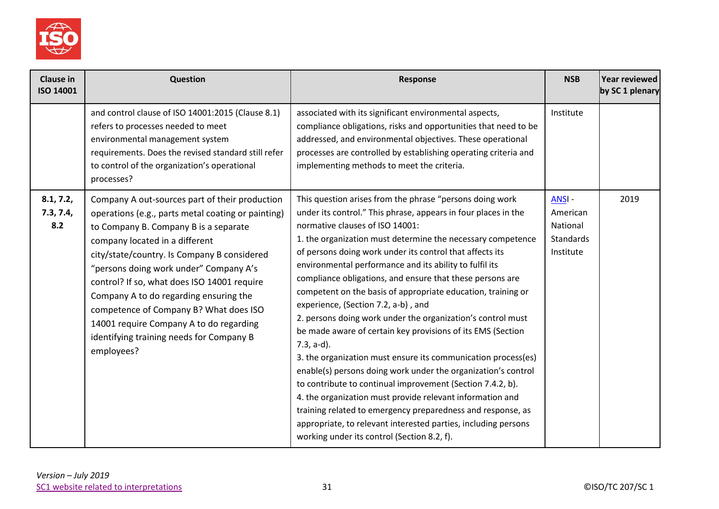

| <b>Clause in</b><br><b>ISO 14001</b> | <b>Question</b>                                                                                                                                                                                                                                                                                                                                                                                                                                                                                                  | <b>Response</b>                                                                                                                                                                                                                                                                                                                                                                                                                                                                                                                                                                                                                                                                                                                                                                                                                                                                                                                                                                                                                                                                                                     | <b>NSB</b>                                                     | Year reviewed<br>by SC 1 plenary |
|--------------------------------------|------------------------------------------------------------------------------------------------------------------------------------------------------------------------------------------------------------------------------------------------------------------------------------------------------------------------------------------------------------------------------------------------------------------------------------------------------------------------------------------------------------------|---------------------------------------------------------------------------------------------------------------------------------------------------------------------------------------------------------------------------------------------------------------------------------------------------------------------------------------------------------------------------------------------------------------------------------------------------------------------------------------------------------------------------------------------------------------------------------------------------------------------------------------------------------------------------------------------------------------------------------------------------------------------------------------------------------------------------------------------------------------------------------------------------------------------------------------------------------------------------------------------------------------------------------------------------------------------------------------------------------------------|----------------------------------------------------------------|----------------------------------|
|                                      | and control clause of ISO 14001:2015 (Clause 8.1)<br>refers to processes needed to meet<br>environmental management system<br>requirements. Does the revised standard still refer<br>to control of the organization's operational<br>processes?                                                                                                                                                                                                                                                                  | associated with its significant environmental aspects,<br>compliance obligations, risks and opportunities that need to be<br>addressed, and environmental objectives. These operational<br>processes are controlled by establishing operating criteria and<br>implementing methods to meet the criteria.                                                                                                                                                                                                                                                                                                                                                                                                                                                                                                                                                                                                                                                                                                                                                                                                            | Institute                                                      |                                  |
| 8.1, 7.2,<br>7.3, 7.4,<br>8.2        | Company A out-sources part of their production<br>operations (e.g., parts metal coating or painting)<br>to Company B. Company B is a separate<br>company located in a different<br>city/state/country. Is Company B considered<br>"persons doing work under" Company A's<br>control? If so, what does ISO 14001 require<br>Company A to do regarding ensuring the<br>competence of Company B? What does ISO<br>14001 require Company A to do regarding<br>identifying training needs for Company B<br>employees? | This question arises from the phrase "persons doing work<br>under its control." This phrase, appears in four places in the<br>normative clauses of ISO 14001:<br>1. the organization must determine the necessary competence<br>of persons doing work under its control that affects its<br>environmental performance and its ability to fulfil its<br>compliance obligations, and ensure that these persons are<br>competent on the basis of appropriate education, training or<br>experience, (Section 7.2, a-b), and<br>2. persons doing work under the organization's control must<br>be made aware of certain key provisions of its EMS (Section<br>$7.3, a-d$ ).<br>3. the organization must ensure its communication process(es)<br>enable(s) persons doing work under the organization's control<br>to contribute to continual improvement (Section 7.4.2, b).<br>4. the organization must provide relevant information and<br>training related to emergency preparedness and response, as<br>appropriate, to relevant interested parties, including persons<br>working under its control (Section 8.2, f). | ANSI-<br>American<br>National<br><b>Standards</b><br>Institute | 2019                             |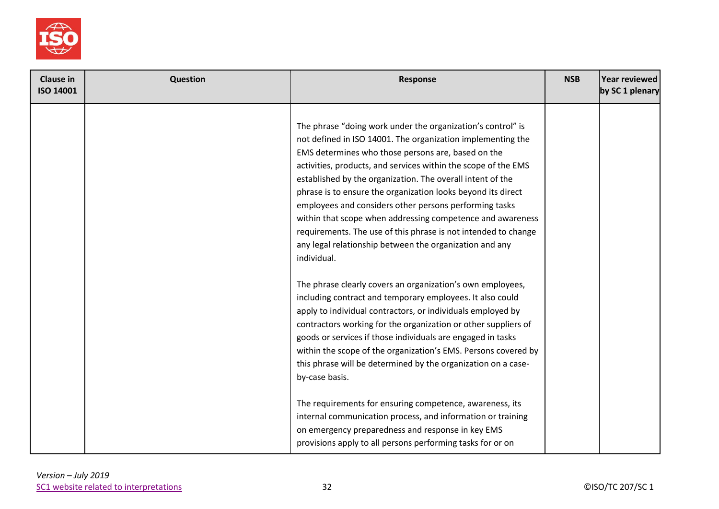

| <b>Clause in</b><br><b>ISO 14001</b> | <b>Question</b> | Response                                                                                                                                                                                                                                                                                                                                                                                                                                                                                                                                                                                                                                             | <b>NSB</b> | Year reviewed<br>by SC 1 plenary |
|--------------------------------------|-----------------|------------------------------------------------------------------------------------------------------------------------------------------------------------------------------------------------------------------------------------------------------------------------------------------------------------------------------------------------------------------------------------------------------------------------------------------------------------------------------------------------------------------------------------------------------------------------------------------------------------------------------------------------------|------------|----------------------------------|
|                                      |                 | The phrase "doing work under the organization's control" is<br>not defined in ISO 14001. The organization implementing the<br>EMS determines who those persons are, based on the<br>activities, products, and services within the scope of the EMS<br>established by the organization. The overall intent of the<br>phrase is to ensure the organization looks beyond its direct<br>employees and considers other persons performing tasks<br>within that scope when addressing competence and awareness<br>requirements. The use of this phrase is not intended to change<br>any legal relationship between the organization and any<br>individual. |            |                                  |
|                                      |                 | The phrase clearly covers an organization's own employees,<br>including contract and temporary employees. It also could<br>apply to individual contractors, or individuals employed by<br>contractors working for the organization or other suppliers of<br>goods or services if those individuals are engaged in tasks<br>within the scope of the organization's EMS. Persons covered by<br>this phrase will be determined by the organization on a case-<br>by-case basis.                                                                                                                                                                         |            |                                  |
|                                      |                 | The requirements for ensuring competence, awareness, its<br>internal communication process, and information or training<br>on emergency preparedness and response in key EMS<br>provisions apply to all persons performing tasks for or on                                                                                                                                                                                                                                                                                                                                                                                                           |            |                                  |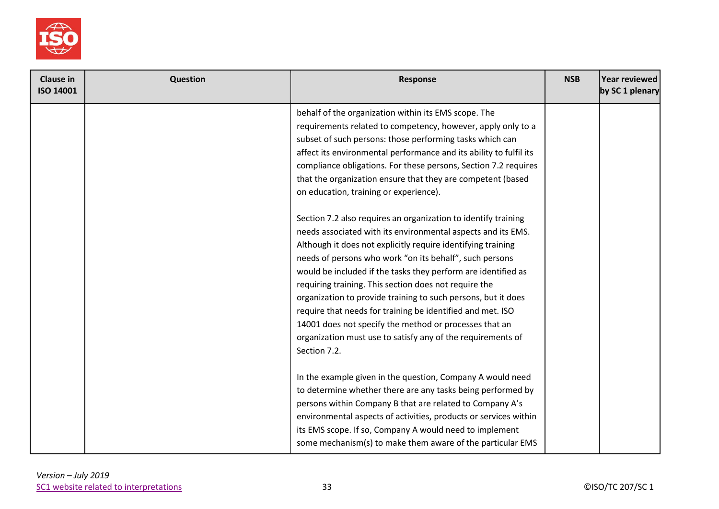

| <b>Clause in</b><br>ISO 14001 | <b>Question</b> | Response                                                                                                                                                                                                                                                                                                                                                                                                                                                                                                                                                                                                                                                    | <b>NSB</b> | Year reviewed<br>by SC 1 plenary |
|-------------------------------|-----------------|-------------------------------------------------------------------------------------------------------------------------------------------------------------------------------------------------------------------------------------------------------------------------------------------------------------------------------------------------------------------------------------------------------------------------------------------------------------------------------------------------------------------------------------------------------------------------------------------------------------------------------------------------------------|------------|----------------------------------|
|                               |                 | behalf of the organization within its EMS scope. The<br>requirements related to competency, however, apply only to a<br>subset of such persons: those performing tasks which can<br>affect its environmental performance and its ability to fulfil its<br>compliance obligations. For these persons, Section 7.2 requires<br>that the organization ensure that they are competent (based<br>on education, training or experience).                                                                                                                                                                                                                          |            |                                  |
|                               |                 | Section 7.2 also requires an organization to identify training<br>needs associated with its environmental aspects and its EMS.<br>Although it does not explicitly require identifying training<br>needs of persons who work "on its behalf", such persons<br>would be included if the tasks they perform are identified as<br>requiring training. This section does not require the<br>organization to provide training to such persons, but it does<br>require that needs for training be identified and met. ISO<br>14001 does not specify the method or processes that an<br>organization must use to satisfy any of the requirements of<br>Section 7.2. |            |                                  |
|                               |                 | In the example given in the question, Company A would need<br>to determine whether there are any tasks being performed by<br>persons within Company B that are related to Company A's<br>environmental aspects of activities, products or services within<br>its EMS scope. If so, Company A would need to implement<br>some mechanism(s) to make them aware of the particular EMS                                                                                                                                                                                                                                                                          |            |                                  |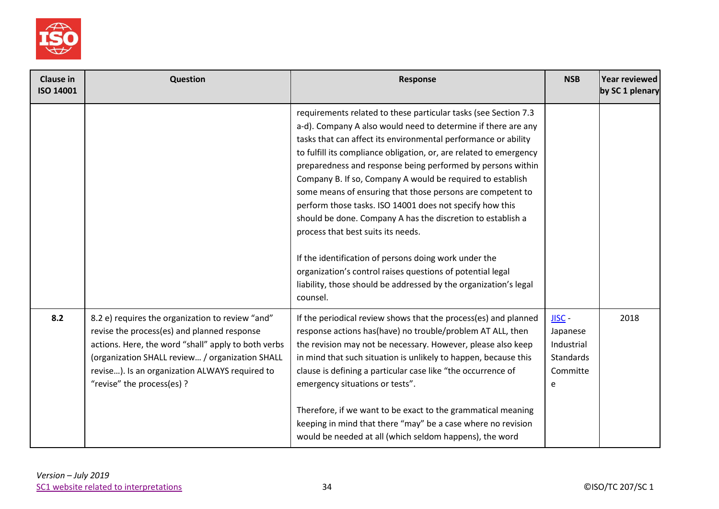

| <b>Clause in</b><br>ISO 14001 | Question                                                                                                                                                                                                                                                                                  | Response                                                                                                                                                                                                                                                                                                                                                                                                                                                                                                                                                                                                                                                                                                                                                                                                                                    | <b>NSB</b>                                                              | Year reviewed<br>by SC 1 plenary |
|-------------------------------|-------------------------------------------------------------------------------------------------------------------------------------------------------------------------------------------------------------------------------------------------------------------------------------------|---------------------------------------------------------------------------------------------------------------------------------------------------------------------------------------------------------------------------------------------------------------------------------------------------------------------------------------------------------------------------------------------------------------------------------------------------------------------------------------------------------------------------------------------------------------------------------------------------------------------------------------------------------------------------------------------------------------------------------------------------------------------------------------------------------------------------------------------|-------------------------------------------------------------------------|----------------------------------|
|                               |                                                                                                                                                                                                                                                                                           | requirements related to these particular tasks (see Section 7.3<br>a-d). Company A also would need to determine if there are any<br>tasks that can affect its environmental performance or ability<br>to fulfill its compliance obligation, or, are related to emergency<br>preparedness and response being performed by persons within<br>Company B. If so, Company A would be required to establish<br>some means of ensuring that those persons are competent to<br>perform those tasks. ISO 14001 does not specify how this<br>should be done. Company A has the discretion to establish a<br>process that best suits its needs.<br>If the identification of persons doing work under the<br>organization's control raises questions of potential legal<br>liability, those should be addressed by the organization's legal<br>counsel. |                                                                         |                                  |
| 8.2                           | 8.2 e) requires the organization to review "and"<br>revise the process(es) and planned response<br>actions. Here, the word "shall" apply to both verbs<br>(organization SHALL review / organization SHALL<br>revise). Is an organization ALWAYS required to<br>"revise" the process(es) ? | If the periodical review shows that the process(es) and planned<br>response actions has(have) no trouble/problem AT ALL, then<br>the revision may not be necessary. However, please also keep<br>in mind that such situation is unlikely to happen, because this<br>clause is defining a particular case like "the occurrence of<br>emergency situations or tests".<br>Therefore, if we want to be exact to the grammatical meaning<br>keeping in mind that there "may" be a case where no revision<br>would be needed at all (which seldom happens), the word                                                                                                                                                                                                                                                                              | $JISC -$<br>Japanese<br>Industrial<br><b>Standards</b><br>Committe<br>e | 2018                             |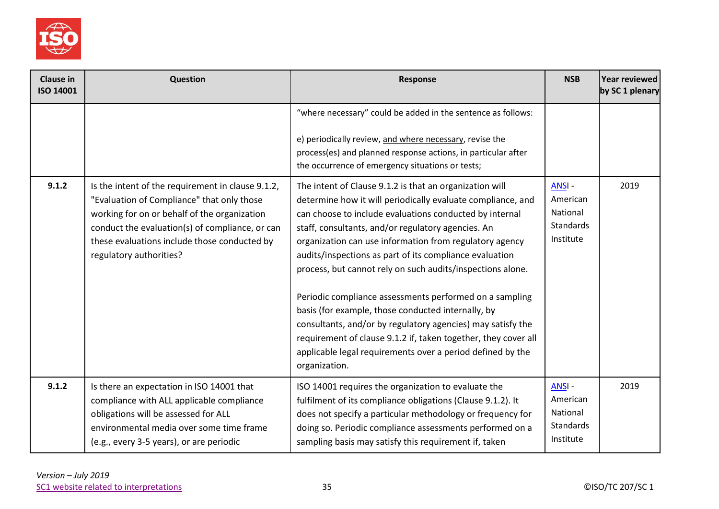

| <b>Clause in</b><br><b>ISO 14001</b> | Question                                                                                                                                                                                                                                                                      | <b>Response</b>                                                                                                                                                                                                                                                                                                                                                                                                                                                                                                                                                                                                                                                                                                                                              | <b>NSB</b>                                                     | Year reviewed<br>by SC 1 plenary |
|--------------------------------------|-------------------------------------------------------------------------------------------------------------------------------------------------------------------------------------------------------------------------------------------------------------------------------|--------------------------------------------------------------------------------------------------------------------------------------------------------------------------------------------------------------------------------------------------------------------------------------------------------------------------------------------------------------------------------------------------------------------------------------------------------------------------------------------------------------------------------------------------------------------------------------------------------------------------------------------------------------------------------------------------------------------------------------------------------------|----------------------------------------------------------------|----------------------------------|
|                                      |                                                                                                                                                                                                                                                                               | "where necessary" could be added in the sentence as follows:<br>e) periodically review, and where necessary, revise the<br>process(es) and planned response actions, in particular after<br>the occurrence of emergency situations or tests;                                                                                                                                                                                                                                                                                                                                                                                                                                                                                                                 |                                                                |                                  |
| 9.1.2                                | Is the intent of the requirement in clause 9.1.2,<br>"Evaluation of Compliance" that only those<br>working for on or behalf of the organization<br>conduct the evaluation(s) of compliance, or can<br>these evaluations include those conducted by<br>regulatory authorities? | The intent of Clause 9.1.2 is that an organization will<br>determine how it will periodically evaluate compliance, and<br>can choose to include evaluations conducted by internal<br>staff, consultants, and/or regulatory agencies. An<br>organization can use information from regulatory agency<br>audits/inspections as part of its compliance evaluation<br>process, but cannot rely on such audits/inspections alone.<br>Periodic compliance assessments performed on a sampling<br>basis (for example, those conducted internally, by<br>consultants, and/or by regulatory agencies) may satisfy the<br>requirement of clause 9.1.2 if, taken together, they cover all<br>applicable legal requirements over a period defined by the<br>organization. | ANSI-<br>American<br>National<br><b>Standards</b><br>Institute | 2019                             |
| 9.1.2                                | Is there an expectation in ISO 14001 that<br>compliance with ALL applicable compliance<br>obligations will be assessed for ALL<br>environmental media over some time frame<br>(e.g., every 3-5 years), or are periodic                                                        | ISO 14001 requires the organization to evaluate the<br>fulfilment of its compliance obligations (Clause 9.1.2). It<br>does not specify a particular methodology or frequency for<br>doing so. Periodic compliance assessments performed on a<br>sampling basis may satisfy this requirement if, taken                                                                                                                                                                                                                                                                                                                                                                                                                                                        | ANSI-<br>American<br>National<br>Standards<br>Institute        | 2019                             |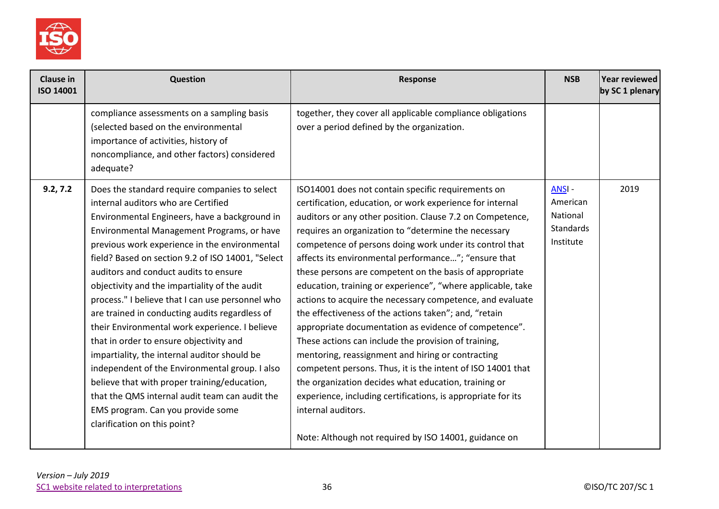

| <b>Clause in</b><br>ISO 14001 | Question                                                                                                                                                                                                                                                                                                                                                                                                                                                                                                                                                                                                                                                                                                                                                                                                                                                        | Response                                                                                                                                                                                                                                                                                                                                                                                                                                                                                                                                                                                                                                                                                                                                                                                                                                                                                                                                                                                                                                            | <b>NSB</b>                                                            | Year reviewed<br>by SC 1 plenary |
|-------------------------------|-----------------------------------------------------------------------------------------------------------------------------------------------------------------------------------------------------------------------------------------------------------------------------------------------------------------------------------------------------------------------------------------------------------------------------------------------------------------------------------------------------------------------------------------------------------------------------------------------------------------------------------------------------------------------------------------------------------------------------------------------------------------------------------------------------------------------------------------------------------------|-----------------------------------------------------------------------------------------------------------------------------------------------------------------------------------------------------------------------------------------------------------------------------------------------------------------------------------------------------------------------------------------------------------------------------------------------------------------------------------------------------------------------------------------------------------------------------------------------------------------------------------------------------------------------------------------------------------------------------------------------------------------------------------------------------------------------------------------------------------------------------------------------------------------------------------------------------------------------------------------------------------------------------------------------------|-----------------------------------------------------------------------|----------------------------------|
|                               | compliance assessments on a sampling basis<br>(selected based on the environmental<br>importance of activities, history of<br>noncompliance, and other factors) considered<br>adequate?                                                                                                                                                                                                                                                                                                                                                                                                                                                                                                                                                                                                                                                                         | together, they cover all applicable compliance obligations<br>over a period defined by the organization.                                                                                                                                                                                                                                                                                                                                                                                                                                                                                                                                                                                                                                                                                                                                                                                                                                                                                                                                            |                                                                       |                                  |
| 9.2, 7.2                      | Does the standard require companies to select<br>internal auditors who are Certified<br>Environmental Engineers, have a background in<br>Environmental Management Programs, or have<br>previous work experience in the environmental<br>field? Based on section 9.2 of ISO 14001, "Select<br>auditors and conduct audits to ensure<br>objectivity and the impartiality of the audit<br>process." I believe that I can use personnel who<br>are trained in conducting audits regardless of<br>their Environmental work experience. I believe<br>that in order to ensure objectivity and<br>impartiality, the internal auditor should be<br>independent of the Environmental group. I also<br>believe that with proper training/education,<br>that the QMS internal audit team can audit the<br>EMS program. Can you provide some<br>clarification on this point? | ISO14001 does not contain specific requirements on<br>certification, education, or work experience for internal<br>auditors or any other position. Clause 7.2 on Competence,<br>requires an organization to "determine the necessary<br>competence of persons doing work under its control that<br>affects its environmental performance"; "ensure that<br>these persons are competent on the basis of appropriate<br>education, training or experience", "where applicable, take<br>actions to acquire the necessary competence, and evaluate<br>the effectiveness of the actions taken"; and, "retain<br>appropriate documentation as evidence of competence".<br>These actions can include the provision of training,<br>mentoring, reassignment and hiring or contracting<br>competent persons. Thus, it is the intent of ISO 14001 that<br>the organization decides what education, training or<br>experience, including certifications, is appropriate for its<br>internal auditors.<br>Note: Although not required by ISO 14001, guidance on | <b>ANSI-</b><br>American<br>National<br><b>Standards</b><br>Institute | 2019                             |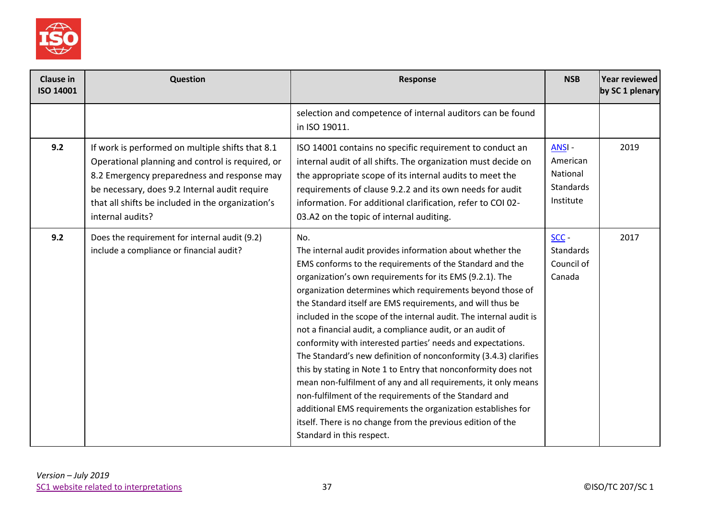

| <b>Clause in</b><br>ISO 14001 | Question                                                                                                                                                                                                                                                                      | Response                                                                                                                                                                                                                                                                                                                                                                                                                                                                                                                                                                                                                                                                                                                                                                                                                                                                                                                                             | <b>NSB</b>                                                     | Year reviewed<br>by SC 1 plenary |
|-------------------------------|-------------------------------------------------------------------------------------------------------------------------------------------------------------------------------------------------------------------------------------------------------------------------------|------------------------------------------------------------------------------------------------------------------------------------------------------------------------------------------------------------------------------------------------------------------------------------------------------------------------------------------------------------------------------------------------------------------------------------------------------------------------------------------------------------------------------------------------------------------------------------------------------------------------------------------------------------------------------------------------------------------------------------------------------------------------------------------------------------------------------------------------------------------------------------------------------------------------------------------------------|----------------------------------------------------------------|----------------------------------|
|                               |                                                                                                                                                                                                                                                                               | selection and competence of internal auditors can be found<br>in ISO 19011.                                                                                                                                                                                                                                                                                                                                                                                                                                                                                                                                                                                                                                                                                                                                                                                                                                                                          |                                                                |                                  |
| 9.2                           | If work is performed on multiple shifts that 8.1<br>Operational planning and control is required, or<br>8.2 Emergency preparedness and response may<br>be necessary, does 9.2 Internal audit require<br>that all shifts be included in the organization's<br>internal audits? | ISO 14001 contains no specific requirement to conduct an<br>internal audit of all shifts. The organization must decide on<br>the appropriate scope of its internal audits to meet the<br>requirements of clause 9.2.2 and its own needs for audit<br>information. For additional clarification, refer to COI 02-<br>03.A2 on the topic of internal auditing.                                                                                                                                                                                                                                                                                                                                                                                                                                                                                                                                                                                         | ANSI-<br>American<br>National<br><b>Standards</b><br>Institute | 2019                             |
| 9.2                           | Does the requirement for internal audit (9.2)<br>include a compliance or financial audit?                                                                                                                                                                                     | No.<br>The internal audit provides information about whether the<br>EMS conforms to the requirements of the Standard and the<br>organization's own requirements for its EMS (9.2.1). The<br>organization determines which requirements beyond those of<br>the Standard itself are EMS requirements, and will thus be<br>included in the scope of the internal audit. The internal audit is<br>not a financial audit, a compliance audit, or an audit of<br>conformity with interested parties' needs and expectations.<br>The Standard's new definition of nonconformity (3.4.3) clarifies<br>this by stating in Note 1 to Entry that nonconformity does not<br>mean non-fulfilment of any and all requirements, it only means<br>non-fulfilment of the requirements of the Standard and<br>additional EMS requirements the organization establishes for<br>itself. There is no change from the previous edition of the<br>Standard in this respect. | $SCC -$<br><b>Standards</b><br>Council of<br>Canada            | 2017                             |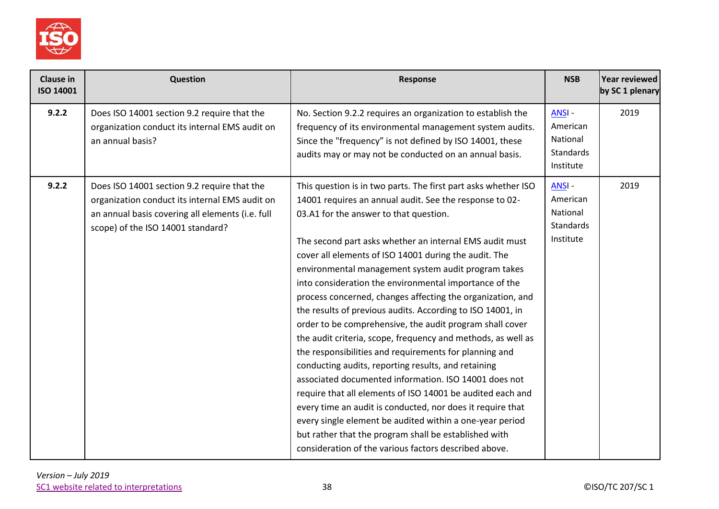

| <b>Clause in</b><br>ISO 14001 | <b>Question</b>                                                                                                                                                                        | <b>Response</b>                                                                                                                                                                                                                                                                                                                                                                                                                                                                                                                                                                                                                                                                                                                                                                                                                                                                                                                                                                                                                                                                                                                                      | <b>NSB</b>                                                            | <b>Year reviewed</b><br>by SC 1 plenary |
|-------------------------------|----------------------------------------------------------------------------------------------------------------------------------------------------------------------------------------|------------------------------------------------------------------------------------------------------------------------------------------------------------------------------------------------------------------------------------------------------------------------------------------------------------------------------------------------------------------------------------------------------------------------------------------------------------------------------------------------------------------------------------------------------------------------------------------------------------------------------------------------------------------------------------------------------------------------------------------------------------------------------------------------------------------------------------------------------------------------------------------------------------------------------------------------------------------------------------------------------------------------------------------------------------------------------------------------------------------------------------------------------|-----------------------------------------------------------------------|-----------------------------------------|
| 9.2.2                         | Does ISO 14001 section 9.2 require that the<br>organization conduct its internal EMS audit on<br>an annual basis?                                                                      | No. Section 9.2.2 requires an organization to establish the<br>frequency of its environmental management system audits.<br>Since the "frequency" is not defined by ISO 14001, these<br>audits may or may not be conducted on an annual basis.                                                                                                                                                                                                                                                                                                                                                                                                                                                                                                                                                                                                                                                                                                                                                                                                                                                                                                        | ANSI-<br>American<br>National<br><b>Standards</b><br>Institute        | 2019                                    |
| 9.2.2                         | Does ISO 14001 section 9.2 require that the<br>organization conduct its internal EMS audit on<br>an annual basis covering all elements (i.e. full<br>scope) of the ISO 14001 standard? | This question is in two parts. The first part asks whether ISO<br>14001 requires an annual audit. See the response to 02-<br>03.A1 for the answer to that question.<br>The second part asks whether an internal EMS audit must<br>cover all elements of ISO 14001 during the audit. The<br>environmental management system audit program takes<br>into consideration the environmental importance of the<br>process concerned, changes affecting the organization, and<br>the results of previous audits. According to ISO 14001, in<br>order to be comprehensive, the audit program shall cover<br>the audit criteria, scope, frequency and methods, as well as<br>the responsibilities and requirements for planning and<br>conducting audits, reporting results, and retaining<br>associated documented information. ISO 14001 does not<br>require that all elements of ISO 14001 be audited each and<br>every time an audit is conducted, nor does it require that<br>every single element be audited within a one-year period<br>but rather that the program shall be established with<br>consideration of the various factors described above. | <b>ANSI-</b><br>American<br>National<br><b>Standards</b><br>Institute | 2019                                    |